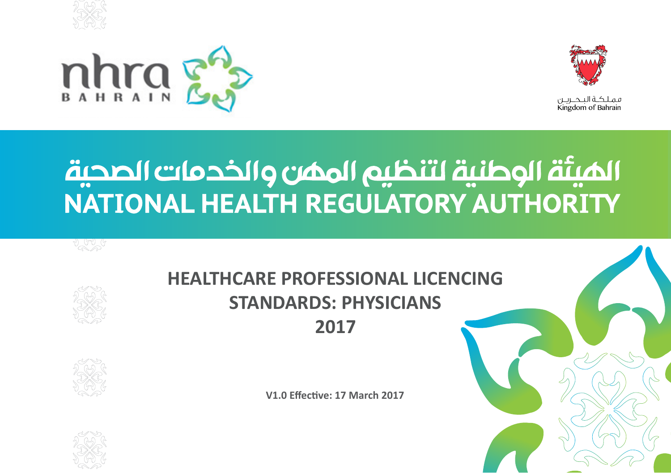





فملكة التحترين  $Kingdom$  of Bahrain

Healthcare Professional Licensing Standards: PHYSICIANS 2017 11

 $\overline{\phantom{a}}$  and  $\overline{\phantom{a}}$  and  $\overline{\phantom{a}}$ 

# الميئة الوطنية لتنظيم المضن والخدمات الصحية NATIONAL HEALTH REGULATORY AUTHORITY





**V1.0 Effective V1.0 Effective: 17 March 2017**

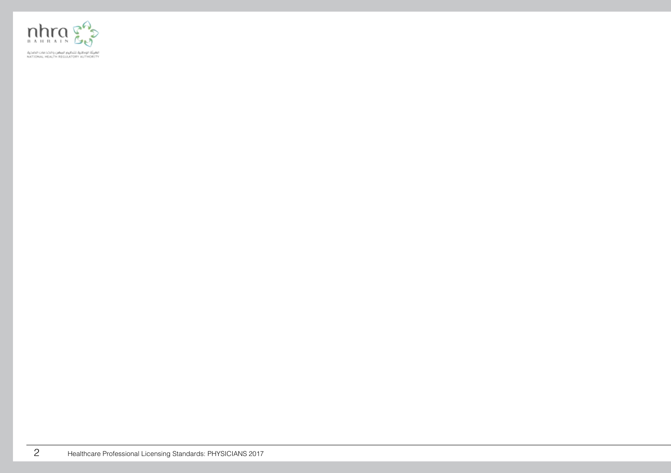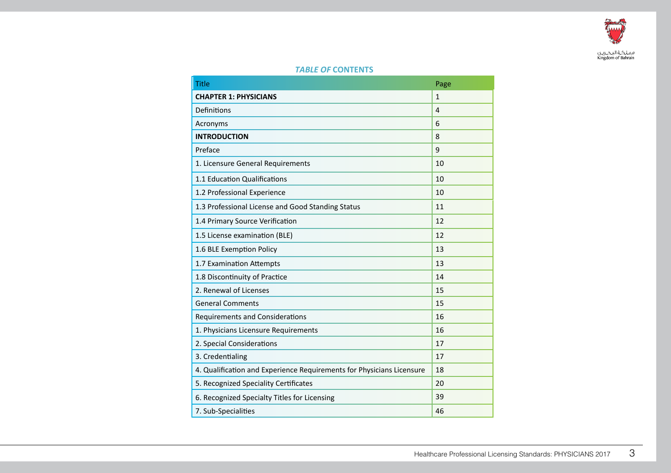

#### *TABLE OF* **CONTENTS**

| Title                                                                 | Page           |
|-----------------------------------------------------------------------|----------------|
| <b>CHAPTER 1: PHYSICIANS</b>                                          | $\mathbf{1}$   |
| Definitions                                                           | $\overline{4}$ |
| Acronyms                                                              | 6              |
| <b>INTRODUCTION</b>                                                   | 8              |
| Preface                                                               | 9              |
| 1. Licensure General Requirements                                     | 10             |
| 1.1 Education Qualifications                                          | 10             |
| 1.2 Professional Experience                                           | 10             |
| 1.3 Professional License and Good Standing Status                     | 11             |
| 1.4 Primary Source Verification                                       | 12             |
| 1.5 License examination (BLE)                                         | 12             |
| 1.6 BLE Exemption Policy                                              | 13             |
| 1.7 Examination Attempts                                              | 13             |
| 1.8 Discontinuity of Practice                                         | 14             |
| 2. Renewal of Licenses                                                | 15             |
| <b>General Comments</b>                                               | 15             |
| <b>Requirements and Considerations</b>                                | 16             |
| 1. Physicians Licensure Requirements                                  | 16             |
| 2. Special Considerations                                             | 17             |
| 3. Credentialing                                                      | 17             |
| 4. Qualification and Experience Requirements for Physicians Licensure | 18             |
| 5. Recognized Speciality Certificates                                 | 20             |
| 6. Recognized Specialty Titles for Licensing                          | 39             |
| 7. Sub-Specialities                                                   | 46             |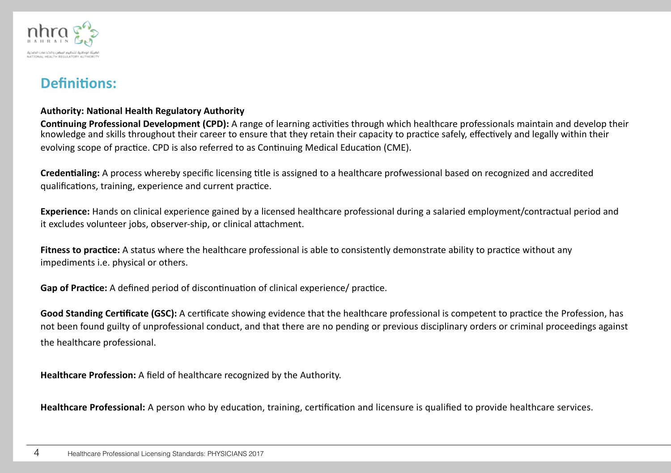

## **Definitions:**

#### **Authority: National Health Regulatory Authority**

**Continuing Professional Development (CPD):** A range of learning activities through which healthcare professionals maintain and develop their knowledge and skills throughout their career to ensure that they retain their capacity to practice safely, effectively and legally within their evolving scope of practice. CPD is also referred to as Continuing Medical Education (CME).

**Credentialing:** A process whereby specific licensing title is assigned to a healthcare profwessional based on recognized and accredited qualifications, training, experience and current practice.

**Experience:** Hands on clinical experience gained by a licensed healthcare professional during a salaried employment/contractual period and it excludes volunteer jobs, observer-ship, or clinical attachment.

**Fitness to practice:** A status where the healthcare professional is able to consistently demonstrate ability to practice without any impediments i.e. physical or others.

**Gap of Practice:** A defined period of discontinuation of clinical experience/ practice.

**Good Standing Certificate (GSC):** A certificate showing evidence that the healthcare professional is competent to practice the Profession, has not been found guilty of unprofessional conduct, and that there are no pending or previous disciplinary orders or criminal proceedings against the healthcare professional.

**Healthcare Profession:** A field of healthcare recognized by the Authority.

**Healthcare Professional:** A person who by education, training, certification and licensure is qualified to provide healthcare services.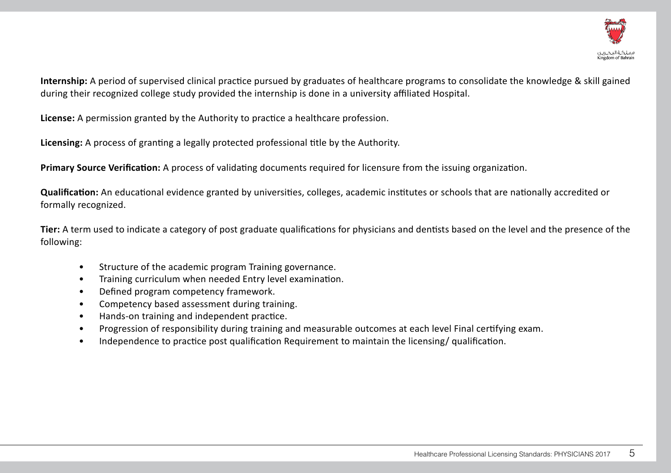

**Internship:** A period of supervised clinical practice pursued by graduates of healthcare programs to consolidate the knowledge & skill gained during their recognized college study provided the internship is done in a university affiliated Hospital.

**License:** A permission granted by the Authority to practice a healthcare profession.

**Licensing:** A process of granting a legally protected professional title by the Authority.

**Primary Source Verification:** A process of validating documents required for licensure from the issuing organization.

**Qualification:** An educational evidence granted by universities, colleges, academic institutes or schools that are nationally accredited or formally recognized.

**Tier:** A term used to indicate a category of post graduate qualifications for physicians and dentists based on the level and the presence of the following:

- Structure of the academic program Training governance.
- Training curriculum when needed Entry level examination.
- Defined program competency framework.
- Competency based assessment during training.
- Hands-on training and independent practice.
- Progression of responsibility during training and measurable outcomes at each level Final certifying exam.
- Independence to practice post qualification Requirement to maintain the licensing/ qualification.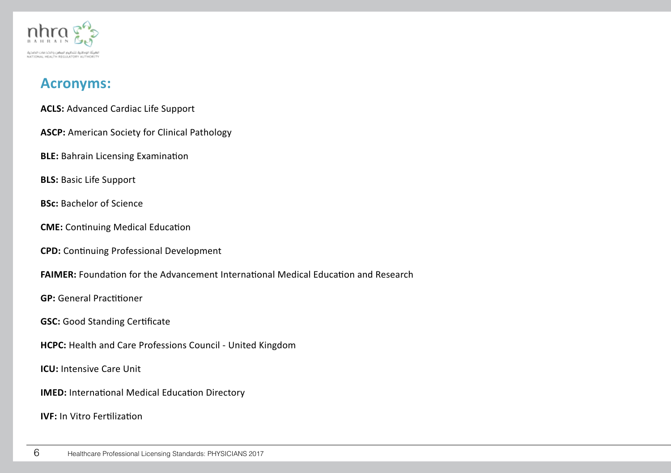

## **Acronyms:**

- **ACLS:** Advanced Cardiac Life Support
- **ASCP:** American Society for Clinical Pathology
- **BLE:** Bahrain Licensing Examination
- **BLS:** Basic Life Support
- **BSc:** Bachelor of Science
- **CME:** Continuing Medical Education
- **CPD:** Continuing Professional Development
- **FAIMER:** Foundation for the Advancement International Medical Education and Research
- **GP:** General Practitioner
- **GSC:** Good Standing Certificate
- **HCPC:** Health and Care Professions Council United Kingdom
- **ICU:** Intensive Care Unit
- **IMED:** International Medical Education Directory
- **IVF:** In Vitro Fertilization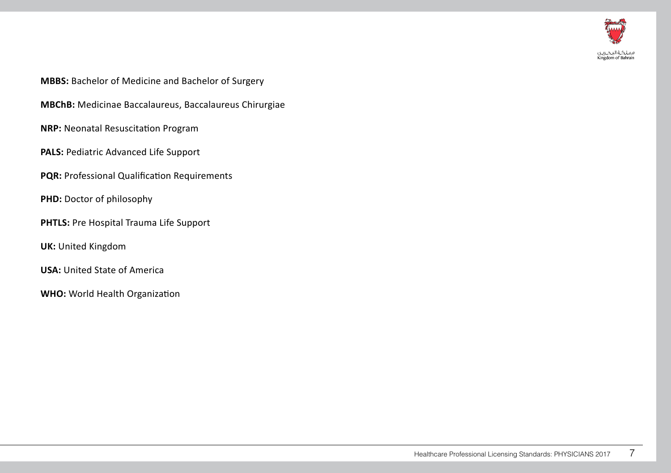

- **MBBS:** Bachelor of Medicine and Bachelor of Surgery
- **MBChB:** Medicinae Baccalaureus, Baccalaureus Chirurgiae
- **NRP:** Neonatal Resuscitation Program
- **PALS:** Pediatric Advanced Life Support
- **PQR:** Professional Qualification Requirements
- **PHD:** Doctor of philosophy
- **PHTLS:** Pre Hospital Trauma Life Support
- **UK:** United Kingdom
- **USA:** United State of America
- **WHO:** World Health Organization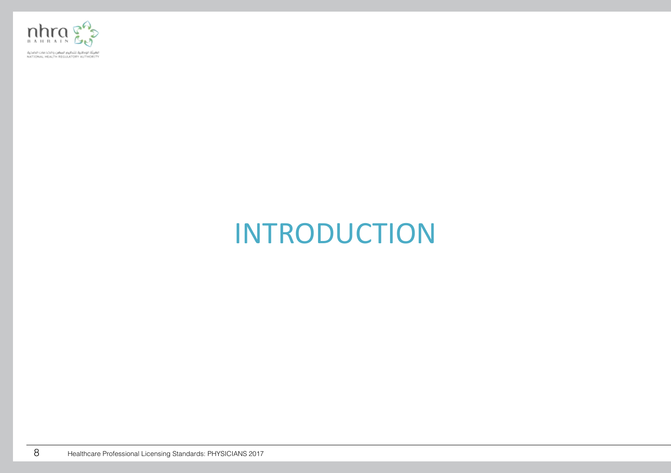

## INTRODUCTION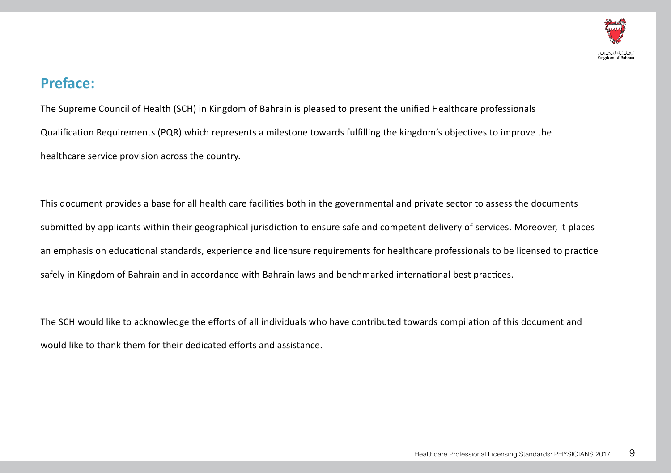

### **Preface:**

The Supreme Council of Health (SCH) in Kingdom of Bahrain is pleased to present the unified Healthcare professionals Qualification Requirements (PQR) which represents a milestone towards fulfilling the kingdom's objectives to improve the healthcare service provision across the country.

This document provides a base for all health care facilities both in the governmental and private sector to assess the documents submitted by applicants within their geographical jurisdiction to ensure safe and competent delivery of services. Moreover, it places an emphasis on educational standards, experience and licensure requirements for healthcare professionals to be licensed to practice safely in Kingdom of Bahrain and in accordance with Bahrain laws and benchmarked international best practices.

The SCH would like to acknowledge the efforts of all individuals who have contributed towards compilation of this document and would like to thank them for their dedicated efforts and assistance.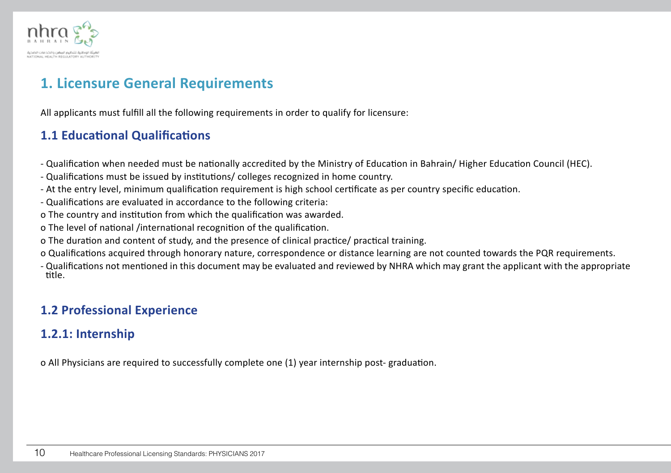

## **1. Licensure General Requirements**

All applicants must fulfill all the following requirements in order to qualify for licensure:

#### **1.1 Educational Qualifications**

- Qualification when needed must be nationally accredited by the Ministry of Education in Bahrain/ Higher Education Council (HEC).
- Qualifications must be issued by institutions/ colleges recognized in home country.
- At the entry level, minimum qualification requirement is high school certificate as per country specific education.
- Qualifications are evaluated in accordance to the following criteria:
- o The country and institution from which the qualification was awarded.
- o The level of national /international recognition of the qualification.
- o The duration and content of study, and the presence of clinical practice/ practical training.
- o Qualifications acquired through honorary nature, correspondence or distance learning are not counted towards the PQR requirements.
- Qualifications not mentioned in this document may be evaluated and reviewed by NHRA which may grant the applicant with the appropriate title.

#### **1.2 Professional Experience**

#### **1.2.1: Internship**

o All Physicians are required to successfully complete one (1) year internship post- graduation.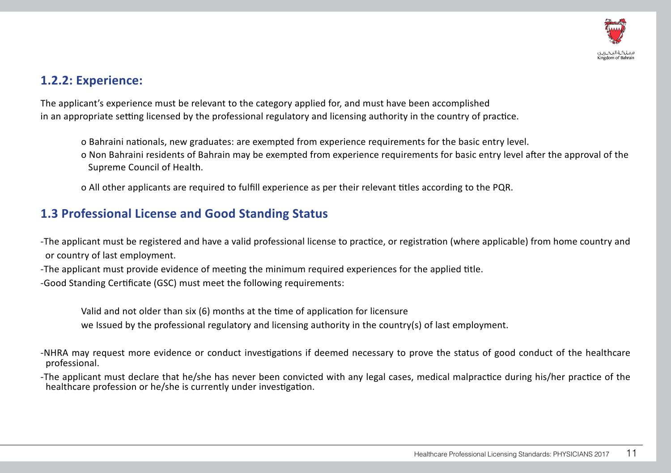

#### **1.2.2: Experience:**

The applicant's experience must be relevant to the category applied for, and must have been accomplished in an appropriate setting licensed by the professional regulatory and licensing authority in the country of practice.

o Bahraini nationals, new graduates: are exempted from experience requirements for the basic entry level.

o Non Bahraini residents of Bahrain may be exempted from experience requirements for basic entry level after the approval of the Supreme Council of Health.

o All other applicants are required to fulfill experience as per their relevant titles according to the PQR.

#### **1.3 Professional License and Good Standing Status**

-The applicant must be registered and have a valid professional license to practice, or registration (where applicable) from home country and or country of last employment.

-The applicant must provide evidence of meeting the minimum required experiences for the applied title.

-Good Standing Certificate (GSC) must meet the following requirements:

Valid and not older than six (6) months at the time of application for licensure

we Issued by the professional regulatory and licensing authority in the country(s) of last employment.

-NHRA may request more evidence or conduct investigations if deemed necessary to prove the status of good conduct of the healthcare professional.

-The applicant must declare that he/she has never been convicted with any legal cases, medical malpractice during his/her practice of the healthcare profession or he/she is currently under investigation.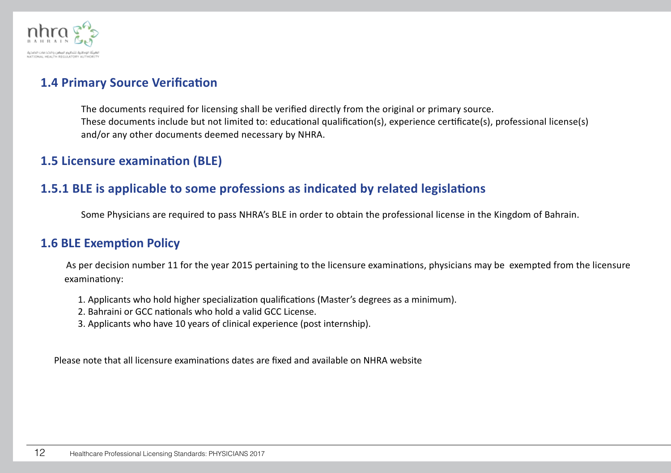

#### **1.4 Primary Source Verification**

The documents required for licensing shall be verified directly from the original or primary source. These documents include but not limited to: educational qualification(s), experience certificate(s), professional license(s) and/or any other documents deemed necessary by NHRA.

#### **1.5 Licensure examination (BLE)**

#### **1.5.1 BLE is applicable to some professions as indicated by related legislations**

Some Physicians are required to pass NHRA's BLE in order to obtain the professional license in the Kingdom of Bahrain.

#### **1.6 BLE Exemption Policy**

 As per decision number 11 for the year 2015 pertaining to the licensure examinations, physicians may be exempted from the licensure examinationy:

- 1. Applicants who hold higher specialization qualifications (Master's degrees as a minimum).
- 2. Bahraini or GCC nationals who hold a valid GCC License.
- 3. Applicants who have 10 years of clinical experience (post internship).

Please note that all licensure examinations dates are fixed and available on NHRA website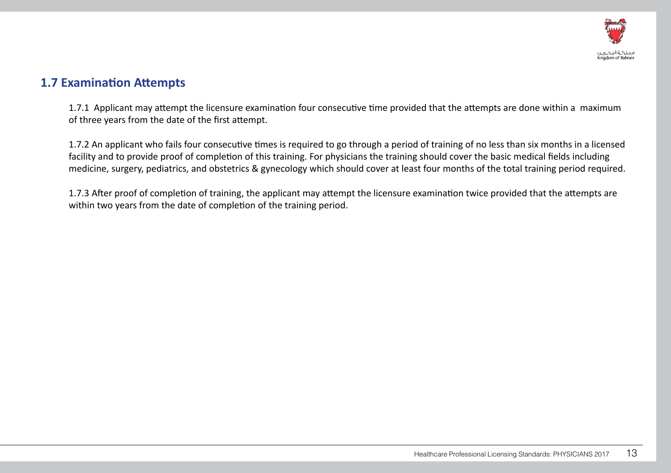

#### **1.7 Examination Attempts**

1.7.1 Applicant may attempt the licensure examination four consecutive time provided that the attempts are done within a maximum of three years from the date of the first attempt.

1.7.2 An applicant who fails four consecutive times is required to go through a period of training of no less than six months in a licensed facility and to provide proof of completion of this training. For physicians the training should cover the basic medical fields including medicine, surgery, pediatrics, and obstetrics & gynecology which should cover at least four months of the total training period required.

1.7.3 After proof of completion of training, the applicant may attempt the licensure examination twice provided that the attempts are within two years from the date of completion of the training period.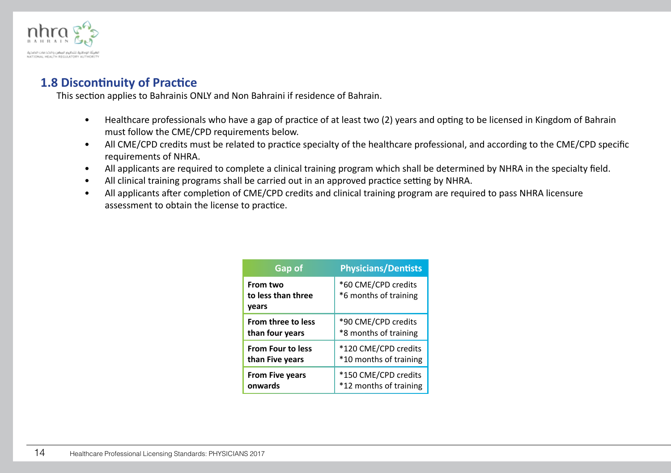

#### **1.8 Discontinuity of Practice**

This section applies to Bahrainis ONLY and Non Bahraini if residence of Bahrain.

- Healthcare professionals who have a gap of practice of at least two (2) years and opting to be licensed in Kingdom of Bahrain must follow the CME/CPD requirements below.
- All CME/CPD credits must be related to practice specialty of the healthcare professional, and according to the CME/CPD specific requirements of NHRA.
- All applicants are required to complete a clinical training program which shall be determined by NHRA in the specialty field.
- All clinical training programs shall be carried out in an approved practice setting by NHRA.
- All applicants after completion of CME/CPD credits and clinical training program are required to pass NHRA licensure assessment to obtain the license to practice.

| Gap of                                  | <b>Physicians/Dentists</b>                   |
|-----------------------------------------|----------------------------------------------|
| From two<br>to less than three<br>years | *60 CME/CPD credits<br>*6 months of training |
| From three to less                      | *90 CME/CPD credits                          |
| than four years                         | *8 months of training                        |
| <b>From Four to less</b>                | *120 CME/CPD credits                         |
| than Five years                         | *10 months of training                       |
| <b>From Five years</b>                  | *150 CME/CPD credits                         |
| onwards                                 | *12 months of training                       |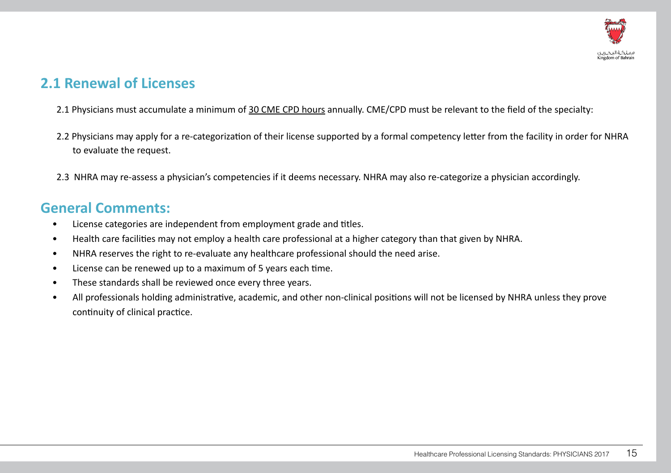

## **2.1 Renewal of Licenses**

- 2.1 Physicians must accumulate a minimum of 30 CME CPD hours annually. CME/CPD must be relevant to the field of the specialty:
- 2.2 Physicians may apply for a re-categorization of their license supported by a formal competency letter from the facility in order for NHRA to evaluate the request.
- 2.3 NHRA may re-assess a physician's competencies if it deems necessary. NHRA may also re-categorize a physician accordingly.

#### **General Comments:**

- License categories are independent from employment grade and titles.
- Health care facilities may not employ a health care professional at a higher category than that given by NHRA.
- NHRA reserves the right to re-evaluate any healthcare professional should the need arise.
- License can be renewed up to a maximum of 5 years each time.
- These standards shall be reviewed once every three years.
- All professionals holding administrative, academic, and other non-clinical positions will not be licensed by NHRA unless they prove continuity of clinical practice.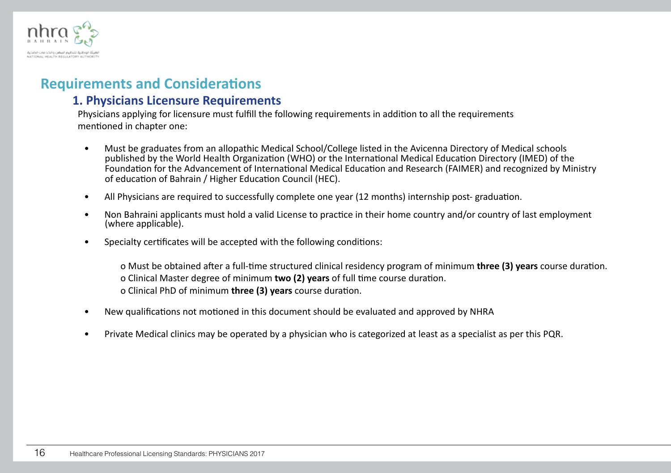

## **Requirements and Considerations**

#### **1. Physicians Licensure Requirements**

Physicians applying for licensure must fulfill the following requirements in addition to all the requirements mentioned in chapter one:

- Must be graduates from an allopathic Medical School/College listed in the Avicenna Directory of Medical schools published by the World Health Organization (WHO) or the International Medical Education Directory (IMED) of the Foundation for the Advancement of International Medical Education and Research (FAIMER) and recognized by Ministry of education of Bahrain / Higher Education Council (HEC).
- All Physicians are required to successfully complete one year (12 months) internship post- graduation.
- Non Bahraini applicants must hold a valid License to practice in their home country and/or country of last employment (where applicable).
- Specialty certificates will be accepted with the following conditions:

o Must be obtained after a full-time structured clinical residency program of minimum **three (3) years** course duration. o Clinical Master degree of minimum **two (2) years** of full time course duration. o Clinical PhD of minimum **three (3) years** course duration.

- New qualifications not motioned in this document should be evaluated and approved by NHRA
- Private Medical clinics may be operated by a physician who is categorized at least as a specialist as per this PQR.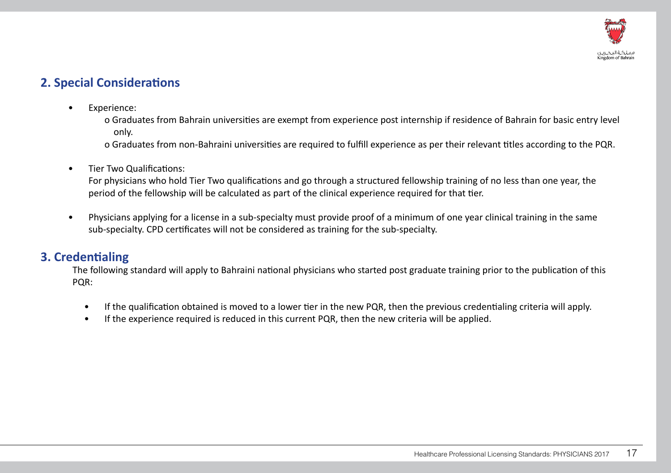

#### **2. Special Considerations**

Experience:

o Graduates from Bahrain universities are exempt from experience post internship if residence of Bahrain for basic entry level only.

o Graduates from non-Bahraini universities are required to fulfill experience as per their relevant titles according to the PQR.

• Tier Two Qualifications:

For physicians who hold Tier Two qualifications and go through a structured fellowship training of no less than one year, the period of the fellowship will be calculated as part of the clinical experience required for that tier.

• Physicians applying for a license in a sub-specialty must provide proof of a minimum of one year clinical training in the same sub-specialty. CPD certificates will not be considered as training for the sub-specialty.

#### **3. Credentialing**

The following standard will apply to Bahraini national physicians who started post graduate training prior to the publication of this POR:

- If the qualification obtained is moved to a lower tier in the new PQR, then the previous credentialing criteria will apply.
- If the experience required is reduced in this current PQR, then the new criteria will be applied.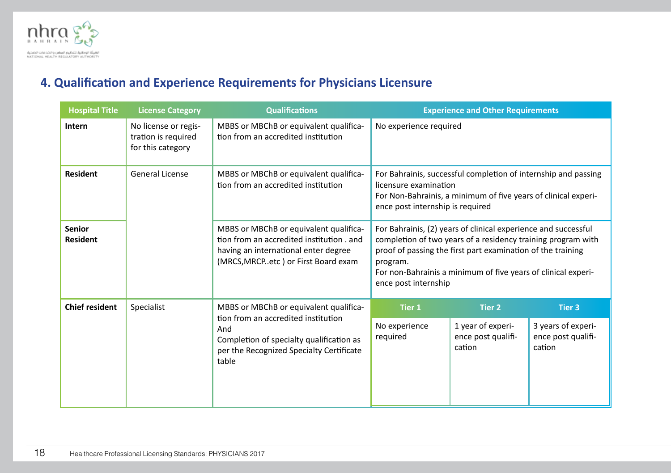

#### **4. Qualification and Experience Requirements for Physicians Licensure**

| <b>Hospital Title</b>     | <b>License Category</b>                                          | <b>Qualifications</b>                                                                                                                                             |                                                                                                                                                                                                                                                                                                    | <b>Experience and Other Requirements</b>          |                                                    |
|---------------------------|------------------------------------------------------------------|-------------------------------------------------------------------------------------------------------------------------------------------------------------------|----------------------------------------------------------------------------------------------------------------------------------------------------------------------------------------------------------------------------------------------------------------------------------------------------|---------------------------------------------------|----------------------------------------------------|
| Intern                    | No license or regis-<br>tration is required<br>for this category | MBBS or MBChB or equivalent qualifica-<br>tion from an accredited institution                                                                                     | No experience required                                                                                                                                                                                                                                                                             |                                                   |                                                    |
| <b>Resident</b>           | General License                                                  | MBBS or MBChB or equivalent qualifica-<br>tion from an accredited institution                                                                                     | For Bahrainis, successful completion of internship and passing<br>licensure examination<br>For Non-Bahrainis, a minimum of five years of clinical experi-<br>ence post internship is required                                                                                                      |                                                   |                                                    |
| Senior<br><b>Resident</b> |                                                                  | MBBS or MBChB or equivalent qualifica-<br>tion from an accredited institution, and<br>having an international enter degree<br>(MRCS, MRCPetc) or First Board exam | For Bahrainis, (2) years of clinical experience and successful<br>completion of two years of a residency training program with<br>proof of passing the first part examination of the training<br>program.<br>For non-Bahrainis a minimum of five years of clinical experi-<br>ence post internship |                                                   |                                                    |
| <b>Chief resident</b>     | Specialist                                                       | MBBS or MBChB or equivalent qualifica-                                                                                                                            | Tier 1                                                                                                                                                                                                                                                                                             | Tier 2                                            | Tier <sub>3</sub>                                  |
|                           |                                                                  | tion from an accredited institution<br>And<br>Completion of specialty qualification as<br>per the Recognized Specialty Certificate<br>table                       | No experience<br>required                                                                                                                                                                                                                                                                          | 1 year of experi-<br>ence post qualifi-<br>cation | 3 years of experi-<br>ence post qualifi-<br>cation |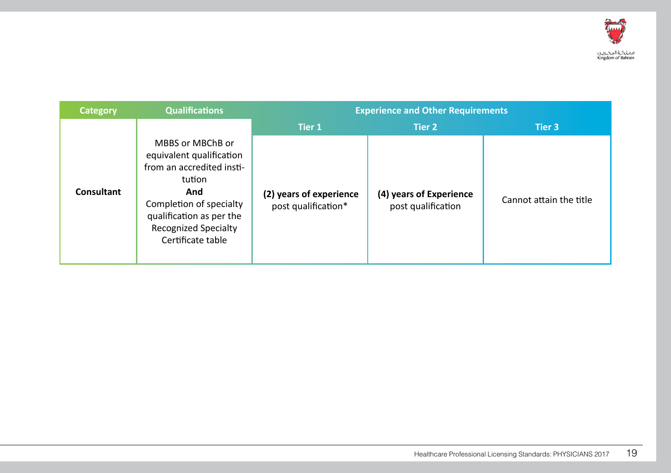

| <b>Qualifications</b><br>Category |                                                                                                                                                                                                       | <b>Experience and Other Requirements</b>       |                                               |                         |
|-----------------------------------|-------------------------------------------------------------------------------------------------------------------------------------------------------------------------------------------------------|------------------------------------------------|-----------------------------------------------|-------------------------|
|                                   |                                                                                                                                                                                                       | Tier 1                                         | Tier 2                                        | Tier 3                  |
| Consultant                        | MBBS or MBChB or<br>equivalent qualification<br>from an accredited insti-<br>tution<br>And<br>Completion of specialty<br>qualification as per the<br><b>Recognized Specialty</b><br>Certificate table | (2) years of experience<br>post qualification* | (4) years of Experience<br>post qualification | Cannot attain the title |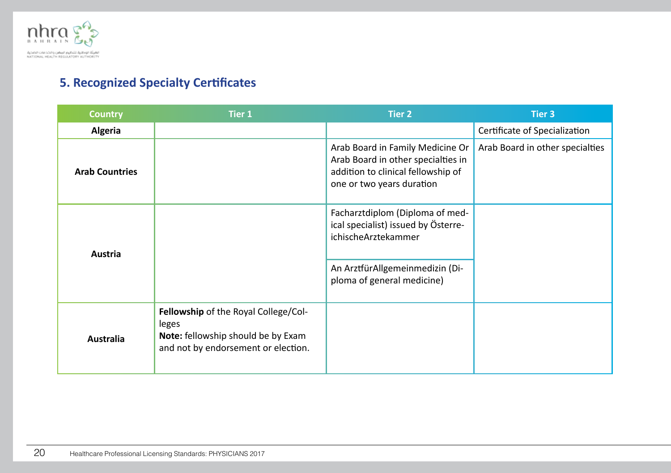

#### **5. Recognized Specialty Certificates**

| <b>Country</b>        | <b>Tier 1</b>                                                                                                              | Tier 2                                                                                                                                    | Tier <sub>3</sub>               |
|-----------------------|----------------------------------------------------------------------------------------------------------------------------|-------------------------------------------------------------------------------------------------------------------------------------------|---------------------------------|
| Algeria               |                                                                                                                            |                                                                                                                                           | Certificate of Specialization   |
| <b>Arab Countries</b> |                                                                                                                            | Arab Board in Family Medicine Or<br>Arab Board in other specialties in<br>addition to clinical fellowship of<br>one or two years duration | Arab Board in other specialties |
| Austria               |                                                                                                                            | Facharztdiplom (Diploma of med-<br>ical specialist) issued by Österre-<br>ichischeArztekammer                                             |                                 |
|                       |                                                                                                                            | An Arztfür Allgemeinmedizin (Di-<br>ploma of general medicine)                                                                            |                                 |
| Australia             | Fellowship of the Royal College/Col-<br>leges<br>Note: fellowship should be by Exam<br>and not by endorsement or election. |                                                                                                                                           |                                 |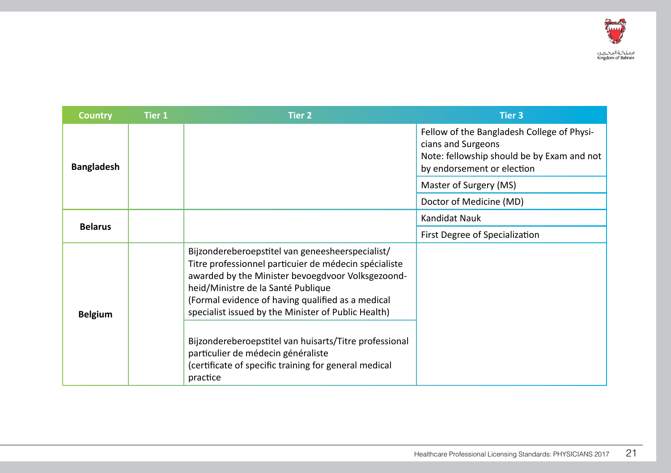

| <b>Country</b>    | <b>Tier 1</b> | <b>Tier 2</b>                                                                                                                                                                                                                                                                                                                                                                                                                                                                         | <b>Tier 3</b>                                                                                                                                |
|-------------------|---------------|---------------------------------------------------------------------------------------------------------------------------------------------------------------------------------------------------------------------------------------------------------------------------------------------------------------------------------------------------------------------------------------------------------------------------------------------------------------------------------------|----------------------------------------------------------------------------------------------------------------------------------------------|
| <b>Bangladesh</b> |               |                                                                                                                                                                                                                                                                                                                                                                                                                                                                                       | Fellow of the Bangladesh College of Physi-<br>cians and Surgeons<br>Note: fellowship should be by Exam and not<br>by endorsement or election |
|                   |               |                                                                                                                                                                                                                                                                                                                                                                                                                                                                                       | Master of Surgery (MS)                                                                                                                       |
|                   |               |                                                                                                                                                                                                                                                                                                                                                                                                                                                                                       | Doctor of Medicine (MD)                                                                                                                      |
| <b>Belarus</b>    |               |                                                                                                                                                                                                                                                                                                                                                                                                                                                                                       | Kandidat Nauk                                                                                                                                |
|                   |               |                                                                                                                                                                                                                                                                                                                                                                                                                                                                                       | First Degree of Specialization                                                                                                               |
| <b>Belgium</b>    |               | Bijzondereberoepstitel van geneesheerspecialist/<br>Titre professionnel particuier de médecin spécialiste<br>awarded by the Minister bevoegdvoor Volksgezoond-<br>heid/Ministre de la Santé Publique<br>(Formal evidence of having qualified as a medical<br>specialist issued by the Minister of Public Health)<br>Bijzondereberoepstitel van huisarts/Titre professional<br>particulier de médecin généraliste<br>(certificate of specific training for general medical<br>practice |                                                                                                                                              |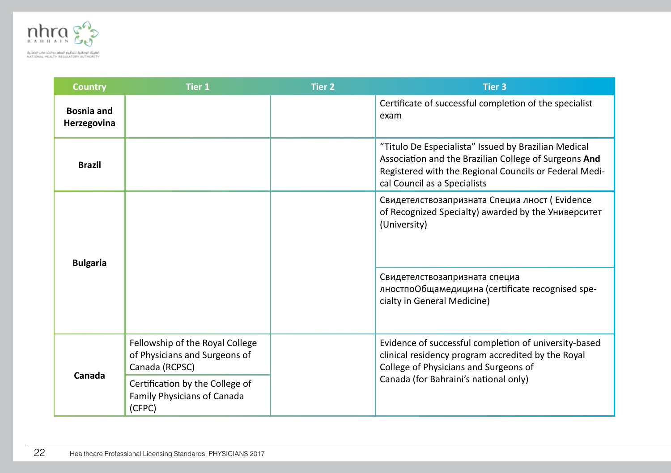

| <b>Country</b>                   | <b>Tier 1</b>                                                                      | <b>Tier 2</b> | <b>Tier 3</b>                                                                                                                                                                                           |
|----------------------------------|------------------------------------------------------------------------------------|---------------|---------------------------------------------------------------------------------------------------------------------------------------------------------------------------------------------------------|
| <b>Bosnia and</b><br>Herzegovina |                                                                                    |               | Certificate of successful completion of the specialist<br>exam                                                                                                                                          |
| <b>Brazil</b>                    |                                                                                    |               | "Titulo De Especialista" Issued by Brazilian Medical<br>Association and the Brazilian College of Surgeons And<br>Registered with the Regional Councils or Federal Medi-<br>cal Council as a Specialists |
| <b>Bulgaria</b>                  |                                                                                    |               | Свидетелствозапризната Специа лност (Evidence<br>of Recognized Specialty) awarded by the Университет<br>(University)                                                                                    |
|                                  |                                                                                    |               | Свидетелствозапризната специа<br>лностпоОбщамедицина (certificate recognised spe-<br>cialty in General Medicine)                                                                                        |
| Canada                           | Fellowship of the Royal College<br>of Physicians and Surgeons of<br>Canada (RCPSC) |               | Evidence of successful completion of university-based<br>clinical residency program accredited by the Royal<br>College of Physicians and Surgeons of                                                    |
|                                  | Certification by the College of<br>Family Physicians of Canada<br>(CFPC)           |               | Canada (for Bahraini's national only)                                                                                                                                                                   |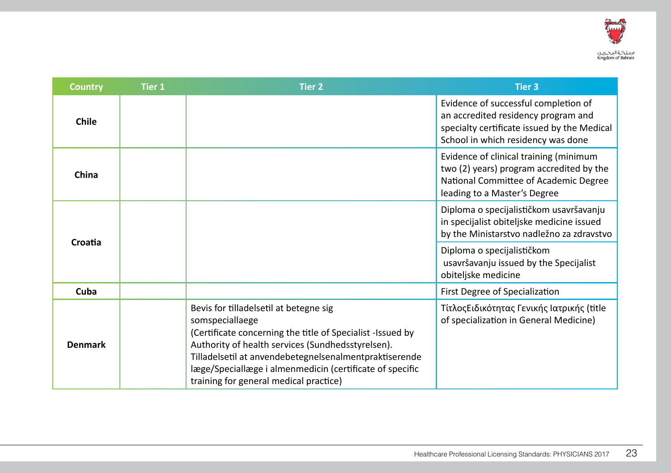

| <b>Country</b> | Tier 1 | <b>Tier 2</b>                                                                                                                                                                                                                                                                                                                                | Tier <sub>3</sub>                                                                                                                                                |
|----------------|--------|----------------------------------------------------------------------------------------------------------------------------------------------------------------------------------------------------------------------------------------------------------------------------------------------------------------------------------------------|------------------------------------------------------------------------------------------------------------------------------------------------------------------|
| Chile          |        |                                                                                                                                                                                                                                                                                                                                              | Evidence of successful completion of<br>an accredited residency program and<br>specialty certificate issued by the Medical<br>School in which residency was done |
| China          |        |                                                                                                                                                                                                                                                                                                                                              | Evidence of clinical training (minimum<br>two (2) years) program accredited by the<br>National Committee of Academic Degree<br>leading to a Master's Degree      |
| Croatia        |        |                                                                                                                                                                                                                                                                                                                                              | Diploma o specijalističkom usavršavanju<br>in specijalist obiteljske medicine issued<br>by the Ministarstvo nadležno za zdravstvo                                |
|                |        |                                                                                                                                                                                                                                                                                                                                              | Diploma o specijalističkom<br>usavršavanju issued by the Specijalist<br>obiteljske medicine                                                                      |
| Cuba           |        |                                                                                                                                                                                                                                                                                                                                              | First Degree of Specialization                                                                                                                                   |
| <b>Denmark</b> |        | Bevis for tilladelsetil at betegne sig<br>somspeciallaege<br>(Certificate concerning the title of Specialist -Issued by<br>Authority of health services (Sundhedsstyrelsen).<br>Tilladelsetil at anvendebetegnelsenalmentpraktiserende<br>læge/Speciallæge i almenmedicin (certificate of specific<br>training for general medical practice) | ΤίτλοςΕιδικότητας Γενικής Ιατρικής (title<br>of specialization in General Medicine)                                                                              |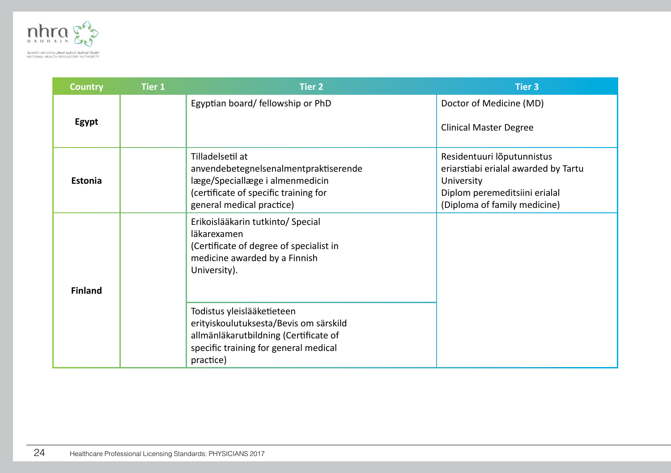

| <b>Country</b> | <b>Tier 1</b> | <b>Tier 2</b>                                                                                                                                                                                                                                                                                          | Tier 3                                                                                                                                            |
|----------------|---------------|--------------------------------------------------------------------------------------------------------------------------------------------------------------------------------------------------------------------------------------------------------------------------------------------------------|---------------------------------------------------------------------------------------------------------------------------------------------------|
| Egypt          |               | Egyptian board/ fellowship or PhD                                                                                                                                                                                                                                                                      | Doctor of Medicine (MD)<br><b>Clinical Master Degree</b>                                                                                          |
| Estonia        |               | Tilladelsetil at<br>anvendebetegnelsenalmentpraktiserende<br>læge/Speciallæge i almenmedicin<br>(certificate of specific training for<br>general medical practice)                                                                                                                                     | Residentuuri lõputunnistus<br>eriarstiabi erialal awarded by Tartu<br>University<br>Diplom peremeditsiini erialal<br>(Diploma of family medicine) |
| <b>Finland</b> |               | Erikoislääkarin tutkinto/ Special<br>läkarexamen<br>(Certificate of degree of specialist in<br>medicine awarded by a Finnish<br>University).<br>Todistus yleislääketieteen<br>erityiskoulutuksesta/Bevis om särskild<br>allmänläkarutbildning (Certificate of<br>specific training for general medical |                                                                                                                                                   |
|                |               | practice)                                                                                                                                                                                                                                                                                              |                                                                                                                                                   |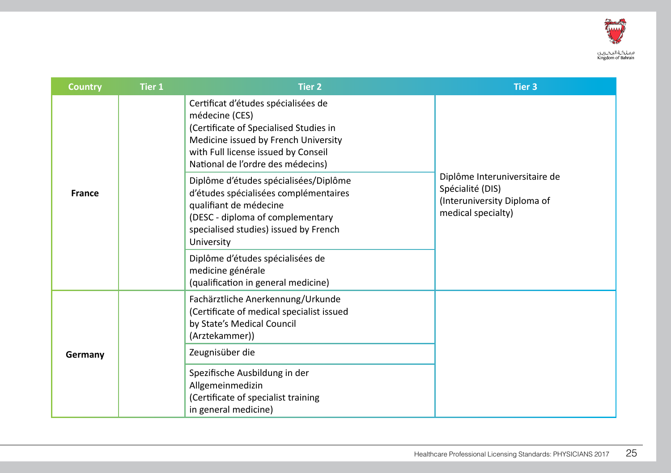

| <b>Country</b> | <b>Tier 1</b> | <b>Tier 2</b>                                                                                                                                                                                                       | <b>Tier 3</b>                                                                                          |
|----------------|---------------|---------------------------------------------------------------------------------------------------------------------------------------------------------------------------------------------------------------------|--------------------------------------------------------------------------------------------------------|
|                |               | Certificat d'études spécialisées de<br>médecine (CES)<br>(Certificate of Specialised Studies in<br>Medicine issued by French University<br>with Full license issued by Conseil<br>National de l'ordre des médecins) |                                                                                                        |
| France         |               | Diplôme d'études spécialisées/Diplôme<br>d'études spécialisées complémentaires<br>qualifiant de médecine<br>(DESC - diploma of complementary<br>specialised studies) issued by French<br>University                 | Diplôme Interuniversitaire de<br>Spécialité (DIS)<br>(Interuniversity Diploma of<br>medical specialty) |
|                |               | Diplôme d'études spécialisées de<br>medicine générale<br>(qualification in general medicine)                                                                                                                        |                                                                                                        |
|                |               | Fachärztliche Anerkennung/Urkunde<br>(Certificate of medical specialist issued<br>by State's Medical Council<br>(Arztekammer))                                                                                      |                                                                                                        |
| Germany        |               | Zeugnisüber die<br>Spezifische Ausbildung in der<br>Allgemeinmedizin<br>(Certificate of specialist training<br>in general medicine)                                                                                 |                                                                                                        |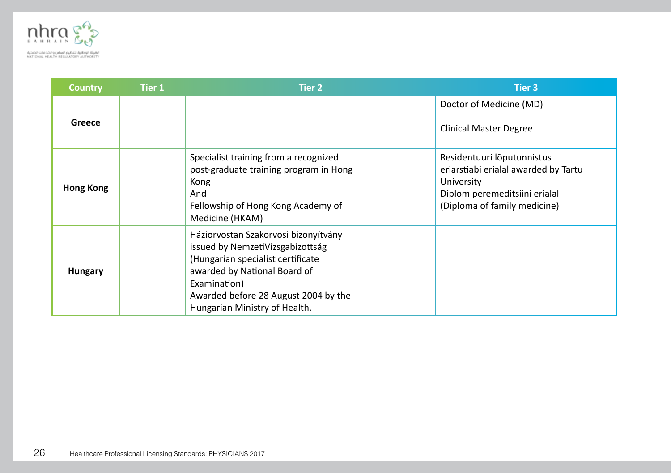

| <b>Country</b>   | Tier 1 | Tier 2                                                                                                                                                                                                                                 | <b>Tier 3</b>                                                                                                                                     |
|------------------|--------|----------------------------------------------------------------------------------------------------------------------------------------------------------------------------------------------------------------------------------------|---------------------------------------------------------------------------------------------------------------------------------------------------|
| Greece           |        |                                                                                                                                                                                                                                        | Doctor of Medicine (MD)<br><b>Clinical Master Degree</b>                                                                                          |
| <b>Hong Kong</b> |        | Specialist training from a recognized<br>post-graduate training program in Hong<br>Kong<br>And<br>Fellowship of Hong Kong Academy of<br>Medicine (HKAM)                                                                                | Residentuuri lõputunnistus<br>eriarstiabi erialal awarded by Tartu<br>University<br>Diplom peremeditsiini erialal<br>(Diploma of family medicine) |
| Hungary          |        | Háziorvostan Szakorvosi bizonyítvány<br>issued by NemzetiVizsgabizottság<br>(Hungarian specialist certificate<br>awarded by National Board of<br>Examination)<br>Awarded before 28 August 2004 by the<br>Hungarian Ministry of Health. |                                                                                                                                                   |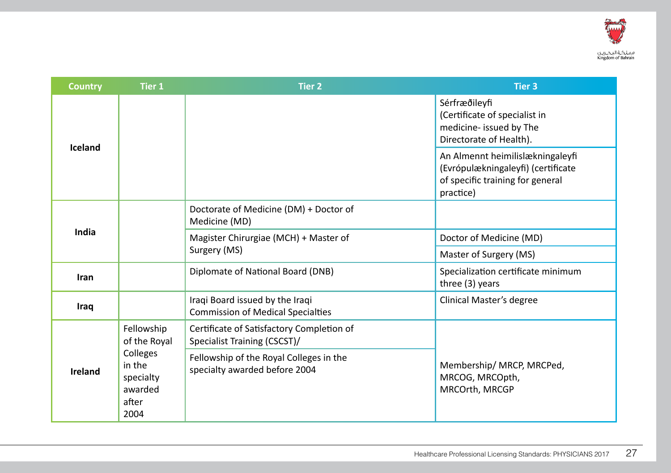

| <b>Country</b> | Tier 1                                                      | <b>Tier 2</b>                                                               | <b>Tier 3</b>                                                                                                           |
|----------------|-------------------------------------------------------------|-----------------------------------------------------------------------------|-------------------------------------------------------------------------------------------------------------------------|
|                |                                                             |                                                                             | Sérfræðileyfi<br>(Certificate of specialist in<br>medicine- issued by The<br>Directorate of Health).                    |
| Iceland        |                                                             |                                                                             | An Almennt heimilislækningaleyfi<br>(Evrópulækningaleyfi) (certificate<br>of specific training for general<br>practice) |
|                |                                                             | Doctorate of Medicine (DM) + Doctor of<br>Medicine (MD)                     |                                                                                                                         |
| India          |                                                             | Magister Chirurgiae (MCH) + Master of<br>Surgery (MS)                       | Doctor of Medicine (MD)                                                                                                 |
|                |                                                             |                                                                             | Master of Surgery (MS)                                                                                                  |
| Iran           |                                                             | Diplomate of National Board (DNB)                                           | Specialization certificate minimum<br>three (3) years                                                                   |
| Iraq           |                                                             | Iraqi Board issued by the Iraqi<br><b>Commission of Medical Specialties</b> | Clinical Master's degree                                                                                                |
|                | Fellowship<br>of the Royal                                  | Certificate of Satisfactory Completion of<br>Specialist Training (CSCST)/   |                                                                                                                         |
| Ireland        | Colleges<br>in the<br>specialty<br>awarded<br>after<br>2004 | Fellowship of the Royal Colleges in the<br>specialty awarded before 2004    | Membership/ MRCP, MRCPed,<br>MRCOG, MRCOpth,<br>MRCOrth, MRCGP                                                          |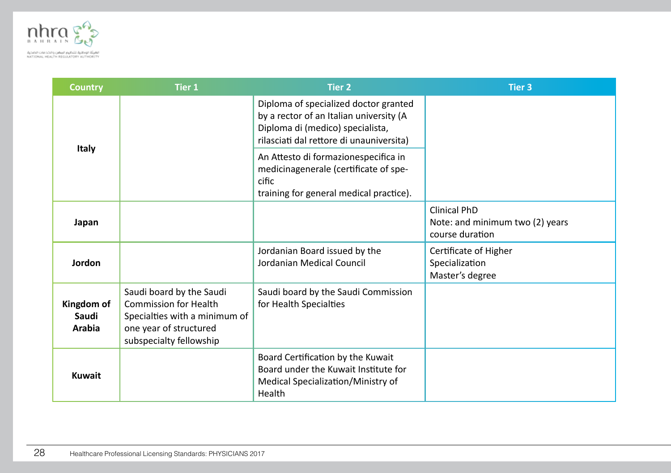

| <b>Country</b>                | Tier 1                                                                                                                                         | <b>Tier 2</b>                                                                                                                                                    | <b>Tier 3</b>                                                             |
|-------------------------------|------------------------------------------------------------------------------------------------------------------------------------------------|------------------------------------------------------------------------------------------------------------------------------------------------------------------|---------------------------------------------------------------------------|
| Italy                         |                                                                                                                                                | Diploma of specialized doctor granted<br>by a rector of an Italian university (A<br>Diploma di (medico) specialista,<br>rilasciati dal rettore di unauniversita) |                                                                           |
|                               |                                                                                                                                                | An Attesto di formazionespecifica in<br>medicinagenerale (certificate of spe-<br>cific<br>training for general medical practice).                                |                                                                           |
| Japan                         |                                                                                                                                                |                                                                                                                                                                  | <b>Clinical PhD</b><br>Note: and minimum two (2) years<br>course duration |
| Jordon                        |                                                                                                                                                | Jordanian Board issued by the<br>Jordanian Medical Council                                                                                                       | Certificate of Higher<br>Specialization<br>Master's degree                |
| Kingdom of<br>Saudi<br>Arabia | Saudi board by the Saudi<br><b>Commission for Health</b><br>Specialties with a minimum of<br>one year of structured<br>subspecialty fellowship | Saudi board by the Saudi Commission<br>for Health Specialties                                                                                                    |                                                                           |
| Kuwait                        |                                                                                                                                                | Board Certification by the Kuwait<br>Board under the Kuwait Institute for<br>Medical Specialization/Ministry of<br>Health                                        |                                                                           |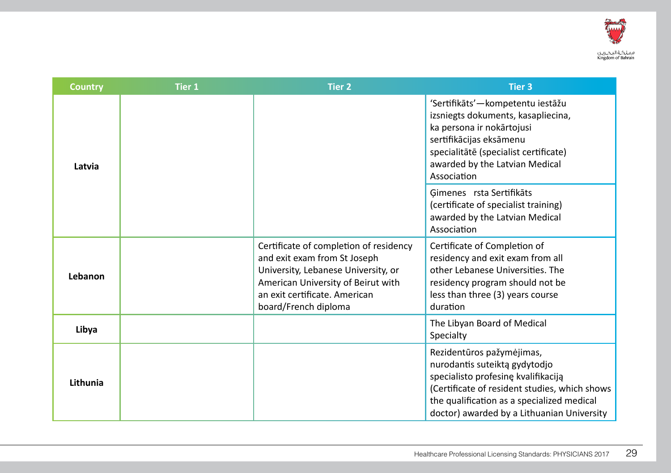

| <b>Country</b> | <b>Tier 1</b> | <b>Tier 2</b>                                                                                                                                                                                                | Tier <sub>3</sub>                                                                                                                                                                                                                              |
|----------------|---------------|--------------------------------------------------------------------------------------------------------------------------------------------------------------------------------------------------------------|------------------------------------------------------------------------------------------------------------------------------------------------------------------------------------------------------------------------------------------------|
| Latvia         |               |                                                                                                                                                                                                              | 'Sertifikāts' — kompetentu iestāžu<br>izsniegts dokuments, kasapliecina,<br>ka persona ir nokārtojusi<br>sertifikācijas eksāmenu<br>specialitātē (specialist certificate)<br>awarded by the Latvian Medical<br>Association                     |
|                |               |                                                                                                                                                                                                              | Gimenes rsta Sertifikāts<br>(certificate of specialist training)<br>awarded by the Latvian Medical<br>Association                                                                                                                              |
| Lebanon        |               | Certificate of completion of residency<br>and exit exam from St Joseph<br>University, Lebanese University, or<br>American University of Beirut with<br>an exit certificate. American<br>board/French diploma | Certificate of Completion of<br>residency and exit exam from all<br>other Lebanese Universities. The<br>residency program should not be<br>less than three (3) years course<br>duration                                                        |
| Libya          |               |                                                                                                                                                                                                              | The Libyan Board of Medical<br>Specialty                                                                                                                                                                                                       |
| Lithunia       |               |                                                                                                                                                                                                              | Rezidentūros pažymėjimas,<br>nurodantis suteiktą gydytodjo<br>specialisto profesinę kvalifikaciją<br>(Certificate of resident studies, which shows<br>the qualification as a specialized medical<br>doctor) awarded by a Lithuanian University |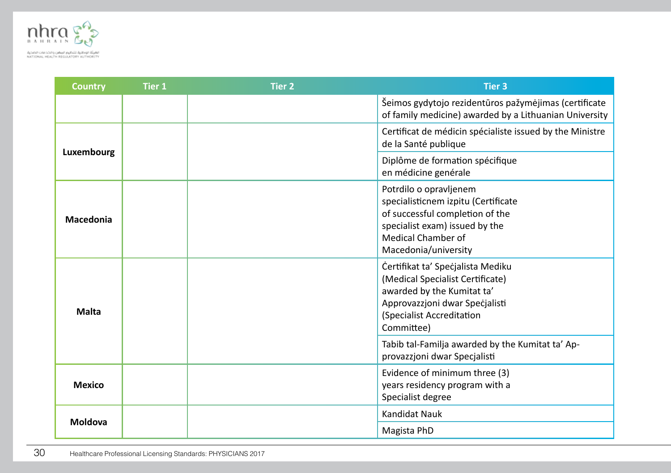

| <b>Country</b>   | Tier 1 | <b>Tier 2</b> | Tier <sub>3</sub>                                                                                                                                                                |
|------------------|--------|---------------|----------------------------------------------------------------------------------------------------------------------------------------------------------------------------------|
|                  |        |               | Šeimos gydytojo rezidentūros pažymėjimas (certificate<br>of family medicine) awarded by a Lithuanian University                                                                  |
|                  |        |               | Certificat de médicin spécialiste issued by the Ministre<br>de la Santé publique                                                                                                 |
| Luxembourg       |        |               | Diplôme de formation spécifique<br>en médicine genérale                                                                                                                          |
| <b>Macedonia</b> |        |               | Potrdilo o opravljenem<br>specialisticnem izpitu (Certificate<br>of successful completion of the<br>specialist exam) issued by the<br>Medical Chamber of<br>Macedonia/university |
| <b>Malta</b>     |        |               | Certifikat ta' Specjalista Mediku<br>(Medical Specialist Certificate)<br>awarded by the Kumitat ta'<br>Approvazzjoni dwar Specjalisti<br>(Specialist Accreditation<br>Committee) |
|                  |        |               | Tabib tal-Familja awarded by the Kumitat ta' Ap-<br>provazzjoni dwar Specjalisti                                                                                                 |
| <b>Mexico</b>    |        |               | Evidence of minimum three (3)<br>years residency program with a<br>Specialist degree                                                                                             |
| Moldova          |        |               | Kandidat Nauk                                                                                                                                                                    |
|                  |        |               | Magista PhD                                                                                                                                                                      |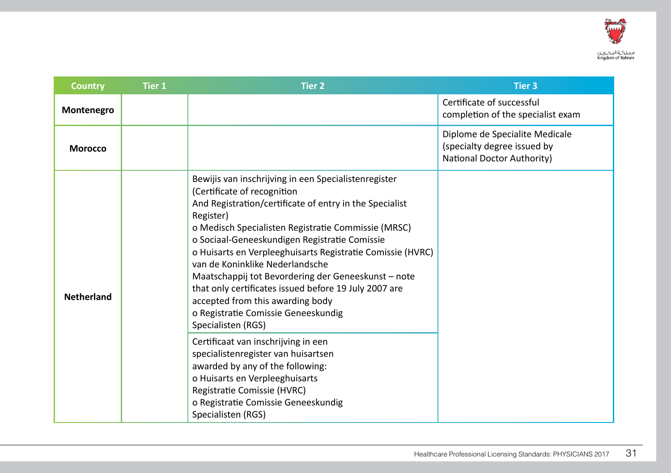

| <b>Country</b>    | Tier 1 | <b>Tier 2</b>                                                                                                                                                                                                                                                                                                                                                                                                                                                                                                                                                                                                                                                                                                                                                                                                                       | <b>Tier 3</b>                                                                               |
|-------------------|--------|-------------------------------------------------------------------------------------------------------------------------------------------------------------------------------------------------------------------------------------------------------------------------------------------------------------------------------------------------------------------------------------------------------------------------------------------------------------------------------------------------------------------------------------------------------------------------------------------------------------------------------------------------------------------------------------------------------------------------------------------------------------------------------------------------------------------------------------|---------------------------------------------------------------------------------------------|
| Montenegro        |        |                                                                                                                                                                                                                                                                                                                                                                                                                                                                                                                                                                                                                                                                                                                                                                                                                                     | Certificate of successful<br>completion of the specialist exam                              |
| <b>Morocco</b>    |        |                                                                                                                                                                                                                                                                                                                                                                                                                                                                                                                                                                                                                                                                                                                                                                                                                                     | Diplome de Specialite Medicale<br>(specialty degree issued by<br>National Doctor Authority) |
| <b>Netherland</b> |        | Bewijis van inschrijving in een Specialistenregister<br>(Certificate of recognition<br>And Registration/certificate of entry in the Specialist<br>Register)<br>o Medisch Specialisten Registratie Commissie (MRSC)<br>o Sociaal-Geneeskundigen Registratie Comissie<br>o Huisarts en Verpleeghuisarts Registratie Comissie (HVRC)<br>van de Koninklike Nederlandsche<br>Maatschappij tot Bevordering der Geneeskunst-note<br>that only certificates issued before 19 July 2007 are<br>accepted from this awarding body<br>o Registratie Comissie Geneeskundig<br>Specialisten (RGS)<br>Certificaat van inschrijving in een<br>specialistenregister van huisartsen<br>awarded by any of the following:<br>o Huisarts en Verpleeghuisarts<br>Registratie Comissie (HVRC)<br>o Registratie Comissie Geneeskundig<br>Specialisten (RGS) |                                                                                             |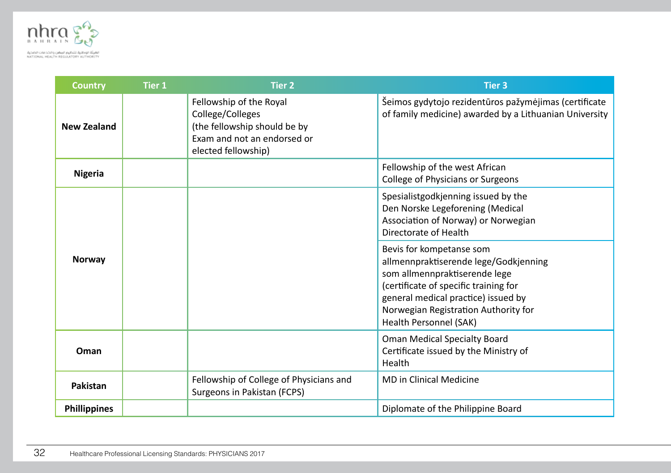

| <b>Country</b>      | <b>Tier 1</b> | <b>Tier 2</b>                                                                                                                     | <b>Tier 3</b>                                                                                                                                                                                                                                        |
|---------------------|---------------|-----------------------------------------------------------------------------------------------------------------------------------|------------------------------------------------------------------------------------------------------------------------------------------------------------------------------------------------------------------------------------------------------|
| <b>New Zealand</b>  |               | Fellowship of the Royal<br>College/Colleges<br>(the fellowship should be by<br>Exam and not an endorsed or<br>elected fellowship) | Šeimos gydytojo rezidentūros pažymėjimas (certificate<br>of family medicine) awarded by a Lithuanian University                                                                                                                                      |
| <b>Nigeria</b>      |               |                                                                                                                                   | Fellowship of the west African<br>College of Physicians or Surgeons                                                                                                                                                                                  |
|                     |               |                                                                                                                                   | Spesialistgodkjenning issued by the<br>Den Norske Legeforening (Medical<br>Association of Norway) or Norwegian<br>Directorate of Health                                                                                                              |
| Norway              |               |                                                                                                                                   | Bevis for kompetanse som<br>allmennpraktiserende lege/Godkjenning<br>som allmennpraktiserende lege<br>(certificate of specific training for<br>general medical practice) issued by<br>Norwegian Registration Authority for<br>Health Personnel (SAK) |
| Oman                |               |                                                                                                                                   | Oman Medical Specialty Board<br>Certificate issued by the Ministry of<br>Health                                                                                                                                                                      |
| Pakistan            |               | Fellowship of College of Physicians and<br>Surgeons in Pakistan (FCPS)                                                            | <b>MD</b> in Clinical Medicine                                                                                                                                                                                                                       |
| <b>Phillippines</b> |               |                                                                                                                                   | Diplomate of the Philippine Board                                                                                                                                                                                                                    |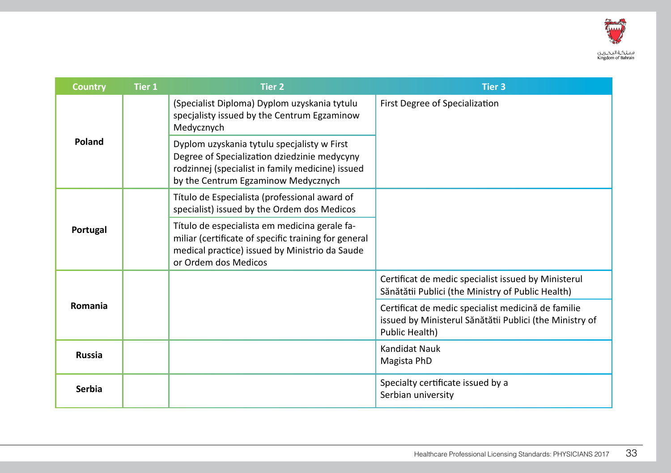

| <b>Country</b> | Tier 1 | <b>Tier 2</b>                                                                                                                                                                          | <b>Tier 3</b>                                                                                                                   |
|----------------|--------|----------------------------------------------------------------------------------------------------------------------------------------------------------------------------------------|---------------------------------------------------------------------------------------------------------------------------------|
|                |        | (Specialist Diploma) Dyplom uzyskania tytulu<br>specjalisty issued by the Centrum Egzaminow<br>Medycznych                                                                              | First Degree of Specialization                                                                                                  |
| Poland         |        | Dyplom uzyskania tytulu specjalisty w First<br>Degree of Specialization dziedzinie medycyny<br>rodzinnej (specialist in family medicine) issued<br>by the Centrum Egzaminow Medycznych |                                                                                                                                 |
|                |        | Título de Especialista (professional award of<br>specialist) issued by the Ordem dos Medicos                                                                                           |                                                                                                                                 |
| Portugal       |        | Título de especialista em medicina gerale fa-<br>miliar (certificate of specific training for general<br>medical practice) issued by Ministrio da Saude<br>or Ordem dos Medicos        |                                                                                                                                 |
|                |        |                                                                                                                                                                                        | Certificat de medic specialist issued by Ministerul<br>Sănătătii Publici (the Ministry of Public Health)                        |
| Romania        |        |                                                                                                                                                                                        | Certificat de medic specialist medicină de familie<br>issued by Ministerul Sănătătii Publici (the Ministry of<br>Public Health) |
| <b>Russia</b>  |        |                                                                                                                                                                                        | Kandidat Nauk<br>Magista PhD                                                                                                    |
| Serbia         |        |                                                                                                                                                                                        | Specialty certificate issued by a<br>Serbian university                                                                         |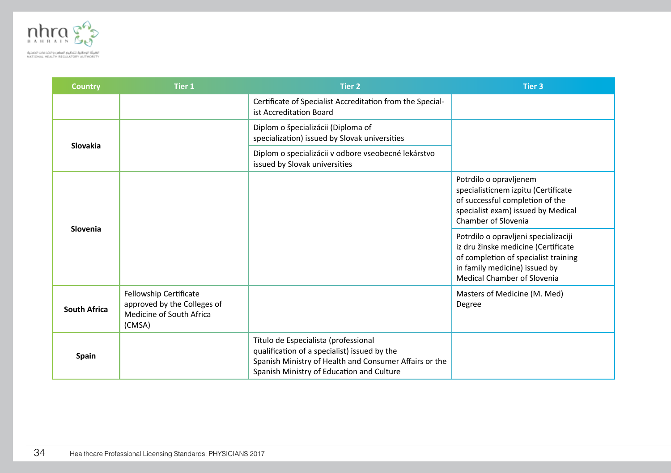

| <b>Country</b>      | Tier 1                                                                                      | Tier 2                                                                                                                                                                                      | <b>Tier 3</b>                                                                                                                                                                       |
|---------------------|---------------------------------------------------------------------------------------------|---------------------------------------------------------------------------------------------------------------------------------------------------------------------------------------------|-------------------------------------------------------------------------------------------------------------------------------------------------------------------------------------|
|                     |                                                                                             | Certificate of Specialist Accreditation from the Special-<br>ist Accreditation Board                                                                                                        |                                                                                                                                                                                     |
| Slovakia            |                                                                                             | Diplom o špecializácii (Diploma of<br>specialization) issued by Slovak universities                                                                                                         |                                                                                                                                                                                     |
|                     |                                                                                             | Diplom o specializácii v odbore vseobecné lekárstvo<br>issued by Slovak universities                                                                                                        |                                                                                                                                                                                     |
|                     |                                                                                             |                                                                                                                                                                                             | Potrdilo o opravljenem<br>specialisticnem izpitu (Certificate<br>of successful completion of the<br>specialist exam) issued by Medical<br>Chamber of Slovenia                       |
| Slovenia            |                                                                                             |                                                                                                                                                                                             | Potrdilo o opravljeni specializaciji<br>iz dru žinske medicine (Certificate<br>of completion of specialist training<br>in family medicine) issued by<br>Medical Chamber of Slovenia |
| <b>South Africa</b> | Fellowship Certificate<br>approved by the Colleges of<br>Medicine of South Africa<br>(CMSA) |                                                                                                                                                                                             | Masters of Medicine (M. Med)<br>Degree                                                                                                                                              |
| Spain               |                                                                                             | Título de Especialista (professional<br>qualification of a specialist) issued by the<br>Spanish Ministry of Health and Consumer Affairs or the<br>Spanish Ministry of Education and Culture |                                                                                                                                                                                     |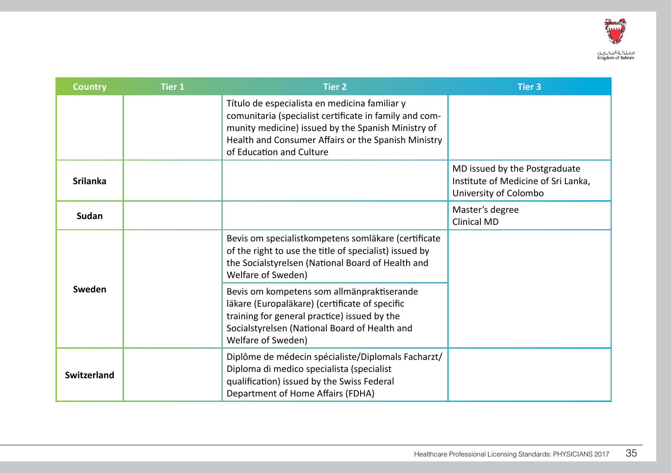

| <b>Country</b>  | Tier 1 | <b>Tier 2</b>                                                                                                                                                                                                                                    | <b>Tier 3</b>                                                                                 |
|-----------------|--------|--------------------------------------------------------------------------------------------------------------------------------------------------------------------------------------------------------------------------------------------------|-----------------------------------------------------------------------------------------------|
|                 |        | Título de especialista en medicina familiar y<br>comunitaria (specialist certificate in family and com-<br>munity medicine) issued by the Spanish Ministry of<br>Health and Consumer Affairs or the Spanish Ministry<br>of Education and Culture |                                                                                               |
| <b>Srilanka</b> |        |                                                                                                                                                                                                                                                  | MD issued by the Postgraduate<br>Institute of Medicine of Sri Lanka,<br>University of Colombo |
| Sudan           |        |                                                                                                                                                                                                                                                  | Master's degree<br>Clinical MD                                                                |
| Sweden          |        | Bevis om specialistkompetens som läkare (certificate<br>of the right to use the title of specialist) issued by<br>the Socialstyrelsen (National Board of Health and<br>Welfare of Sweden)                                                        |                                                                                               |
|                 |        | Bevis om kompetens som allmänpraktiserande<br>läkare (Europaläkare) (certificate of specific<br>training for general practice) issued by the<br>Socialstyrelsen (National Board of Health and<br>Welfare of Sweden)                              |                                                                                               |
| Switzerland     |        | Diplôme de médecin spécialiste/Diplomals Facharzt/<br>Diploma di medico specialista (specialist<br>qualification) issued by the Swiss Federal<br>Department of Home Affairs (FDHA)                                                               |                                                                                               |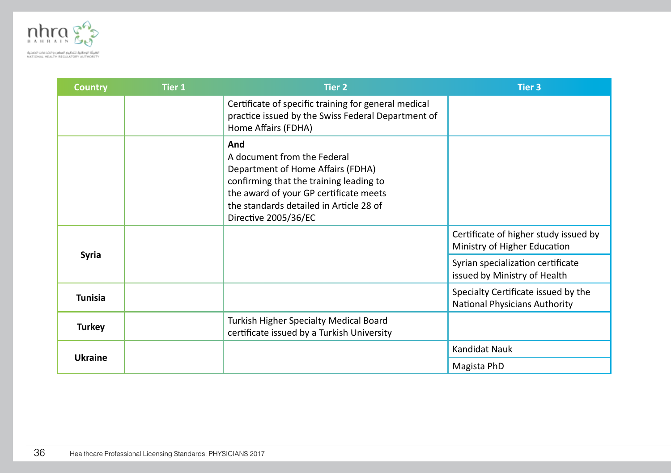

| <b>Country</b> | <b>Tier 1</b> | <b>Tier 2</b>                                                                                                                                                                                                                   | <b>Tier 3</b>                                                         |
|----------------|---------------|---------------------------------------------------------------------------------------------------------------------------------------------------------------------------------------------------------------------------------|-----------------------------------------------------------------------|
|                |               | Certificate of specific training for general medical<br>practice issued by the Swiss Federal Department of<br>Home Affairs (FDHA)                                                                                               |                                                                       |
|                |               | And<br>A document from the Federal<br>Department of Home Affairs (FDHA)<br>confirming that the training leading to<br>the award of your GP certificate meets<br>the standards detailed in Article 28 of<br>Directive 2005/36/EC |                                                                       |
| Syria          |               |                                                                                                                                                                                                                                 | Certificate of higher study issued by<br>Ministry of Higher Education |
|                |               |                                                                                                                                                                                                                                 | Syrian specialization certificate<br>issued by Ministry of Health     |
| <b>Tunisia</b> |               |                                                                                                                                                                                                                                 | Specialty Certificate issued by the<br>National Physicians Authority  |
| <b>Turkey</b>  |               | Turkish Higher Specialty Medical Board<br>certificate issued by a Turkish University                                                                                                                                            |                                                                       |
|                |               |                                                                                                                                                                                                                                 | Kandidat Nauk                                                         |
| <b>Ukraine</b> |               |                                                                                                                                                                                                                                 | Magista PhD                                                           |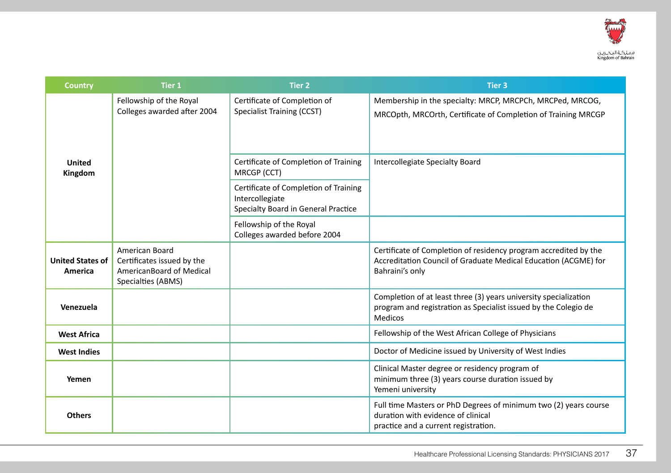

| <b>Country</b>                     | Tier 1                                                                                         | Tier 2                                                                                          | Tier <sub>3</sub>                                                                                                                                      |
|------------------------------------|------------------------------------------------------------------------------------------------|-------------------------------------------------------------------------------------------------|--------------------------------------------------------------------------------------------------------------------------------------------------------|
|                                    | Fellowship of the Royal<br>Colleges awarded after 2004                                         | Certificate of Completion of<br>Specialist Training (CCST)                                      | Membership in the specialty: MRCP, MRCPCh, MRCPed, MRCOG,<br>MRCOpth, MRCOrth, Certificate of Completion of Training MRCGP                             |
| <b>United</b><br>Kingdom           |                                                                                                | Certificate of Completion of Training<br>MRCGP (CCT)                                            | Intercollegiate Specialty Board                                                                                                                        |
|                                    |                                                                                                | Certificate of Completion of Training<br>Intercollegiate<br>Specialty Board in General Practice |                                                                                                                                                        |
|                                    |                                                                                                | Fellowship of the Royal<br>Colleges awarded before 2004                                         |                                                                                                                                                        |
| <b>United States of</b><br>America | American Board<br>Certificates issued by the<br>AmericanBoard of Medical<br>Specialties (ABMS) |                                                                                                 | Certificate of Completion of residency program accredited by the<br>Accreditation Council of Graduate Medical Education (ACGME) for<br>Bahraini's only |
| Venezuela                          |                                                                                                |                                                                                                 | Completion of at least three (3) years university specialization<br>program and registration as Specialist issued by the Colegio de<br>Medicos         |
| <b>West Africa</b>                 |                                                                                                |                                                                                                 | Fellowship of the West African College of Physicians                                                                                                   |
| <b>West Indies</b>                 |                                                                                                |                                                                                                 | Doctor of Medicine issued by University of West Indies                                                                                                 |
| Yemen                              |                                                                                                |                                                                                                 | Clinical Master degree or residency program of<br>minimum three (3) years course duration issued by<br>Yemeni university                               |
| <b>Others</b>                      |                                                                                                |                                                                                                 | Full time Masters or PhD Degrees of minimum two (2) years course<br>duration with evidence of clinical<br>practice and a current registration.         |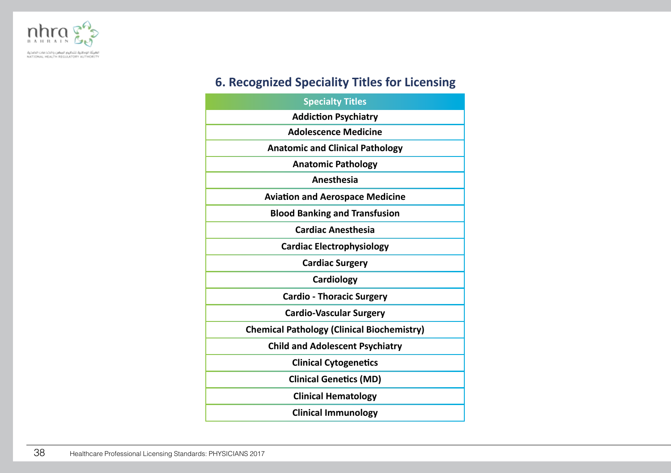

#### **6. Recognized Speciality Titles for Licensing**

#### **Specialty Titles**

**Addiction Psychiatry**

**Adolescence Medicine**

**Anatomic and Clinical Pathology**

**Anatomic Pathology**

**Anesthesia**

**Aviation and Aerospace Medicine**

**Blood Banking and Transfusion**

**Cardiac Anesthesia**

**Cardiac Electrophysiology**

**Cardiac Surgery**

**Cardiology**

**Cardio - Thoracic Surgery**

**Cardio-Vascular Surgery**

**Chemical Pathology (Clinical Biochemistry)**

**Child and Adolescent Psychiatry**

**Clinical Cytogenetics**

**Clinical Genetics (MD)**

**Clinical Hematology**

**Clinical Immunology**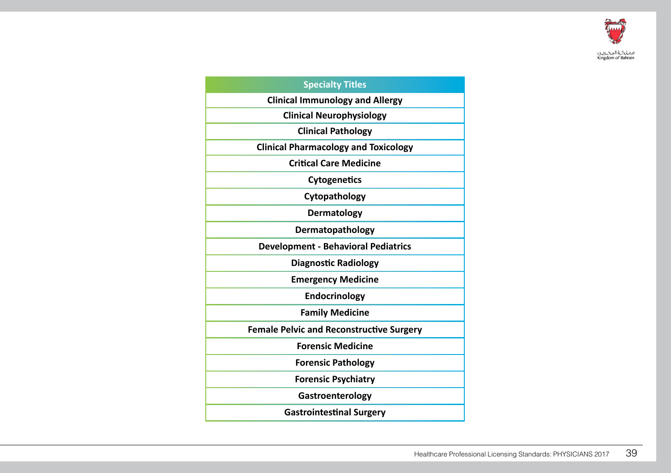

## **Specialty Titles Clinical Immunology and Allergy Clinical Neurophysiology Clinical Pathology Clinical Pharmacology and Toxicology Critical Care Medicine Cytogenetics Cytopathology Dermatology Dermatopathology Development - Behavioral Pediatrics Diagnostic Radiology Emergency Medicine Endocrinology Family Medicine Female Pelvic and Reconstructive Surgery Forensic Medicine Forensic Pathology Forensic Psychiatry Gastroenterology Gastrointestinal Surgery**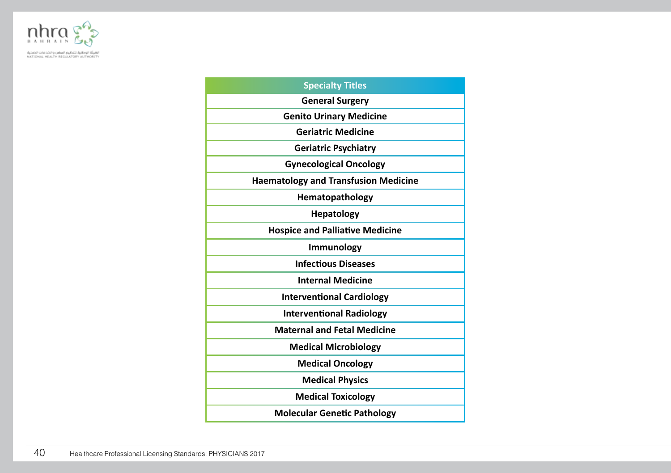

| <b>Specialty Titles</b>                     |
|---------------------------------------------|
| <b>General Surgery</b>                      |
| <b>Genito Urinary Medicine</b>              |
| <b>Geriatric Medicine</b>                   |
| <b>Geriatric Psychiatry</b>                 |
| <b>Gynecological Oncology</b>               |
| <b>Haematology and Transfusion Medicine</b> |
| Hematopathology                             |
| Hepatology                                  |
| <b>Hospice and Palliative Medicine</b>      |
| <b>Immunology</b>                           |
| <b>Infectious Diseases</b>                  |
| <b>Internal Medicine</b>                    |
| <b>Interventional Cardiology</b>            |
| <b>Interventional Radiology</b>             |
| <b>Maternal and Fetal Medicine</b>          |
| <b>Medical Microbiology</b>                 |
| <b>Medical Oncology</b>                     |
| <b>Medical Physics</b>                      |
| <b>Medical Toxicology</b>                   |
| <b>Molecular Genetic Pathology</b>          |
|                                             |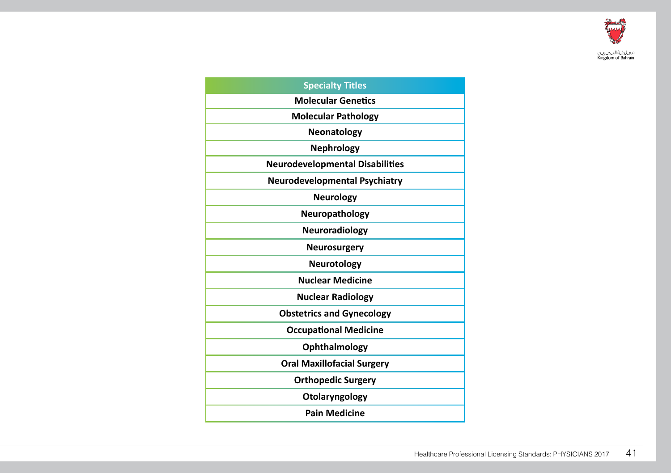

| <b>Specialty Titles</b>                |
|----------------------------------------|
| <b>Molecular Genetics</b>              |
| <b>Molecular Pathology</b>             |
| Neonatology                            |
| <b>Nephrology</b>                      |
| <b>Neurodevelopmental Disabilities</b> |
| <b>Neurodevelopmental Psychiatry</b>   |
| <b>Neurology</b>                       |
| Neuropathology                         |
| <b>Neuroradiology</b>                  |
| Neurosurgery                           |
| <b>Neurotology</b>                     |
| <b>Nuclear Medicine</b>                |
| <b>Nuclear Radiology</b>               |
| <b>Obstetrics and Gynecology</b>       |
| <b>Occupational Medicine</b>           |
| Ophthalmology                          |
| <b>Oral Maxillofacial Surgery</b>      |
| <b>Orthopedic Surgery</b>              |
| Otolaryngology                         |
| <b>Pain Medicine</b>                   |
|                                        |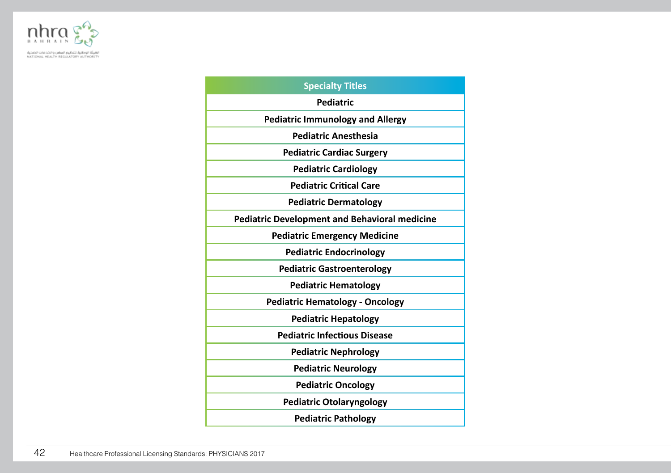

| <b>Specialty Titles</b>                              |
|------------------------------------------------------|
| <b>Pediatric</b>                                     |
| <b>Pediatric Immunology and Allergy</b>              |
| <b>Pediatric Anesthesia</b>                          |
| <b>Pediatric Cardiac Surgery</b>                     |
| <b>Pediatric Cardiology</b>                          |
| <b>Pediatric Critical Care</b>                       |
| <b>Pediatric Dermatology</b>                         |
| <b>Pediatric Development and Behavioral medicine</b> |
| <b>Pediatric Emergency Medicine</b>                  |
| <b>Pediatric Endocrinology</b>                       |
| <b>Pediatric Gastroenterology</b>                    |
| <b>Pediatric Hematology</b>                          |
| <b>Pediatric Hematology - Oncology</b>               |
| <b>Pediatric Hepatology</b>                          |
| <b>Pediatric Infectious Disease</b>                  |
| <b>Pediatric Nephrology</b>                          |
| <b>Pediatric Neurology</b>                           |
| <b>Pediatric Oncology</b>                            |
| <b>Pediatric Otolaryngology</b>                      |
| <b>Pediatric Pathology</b>                           |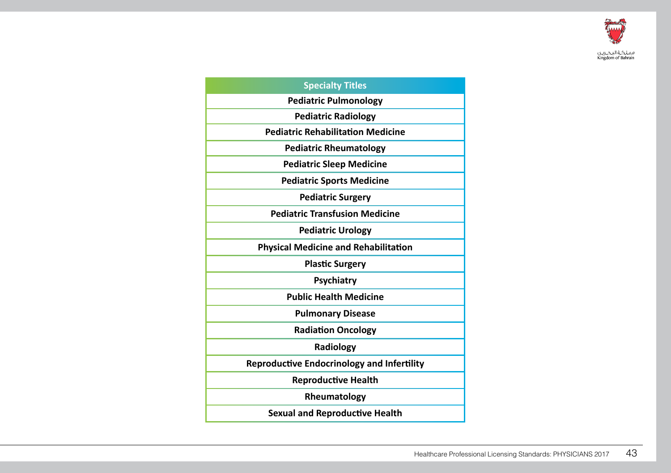

| <b>Specialty Titles</b>                           |  |
|---------------------------------------------------|--|
| <b>Pediatric Pulmonology</b>                      |  |
| <b>Pediatric Radiology</b>                        |  |
| <b>Pediatric Rehabilitation Medicine</b>          |  |
| <b>Pediatric Rheumatology</b>                     |  |
| <b>Pediatric Sleep Medicine</b>                   |  |
| <b>Pediatric Sports Medicine</b>                  |  |
| <b>Pediatric Surgery</b>                          |  |
| <b>Pediatric Transfusion Medicine</b>             |  |
| <b>Pediatric Urology</b>                          |  |
| <b>Physical Medicine and Rehabilitation</b>       |  |
| <b>Plastic Surgery</b>                            |  |
| Psychiatry                                        |  |
| <b>Public Health Medicine</b>                     |  |
| <b>Pulmonary Disease</b>                          |  |
| <b>Radiation Oncology</b>                         |  |
| Radiology                                         |  |
| <b>Reproductive Endocrinology and Infertility</b> |  |
| <b>Reproductive Health</b>                        |  |
| Rheumatology                                      |  |
| <b>Sexual and Reproductive Health</b>             |  |
|                                                   |  |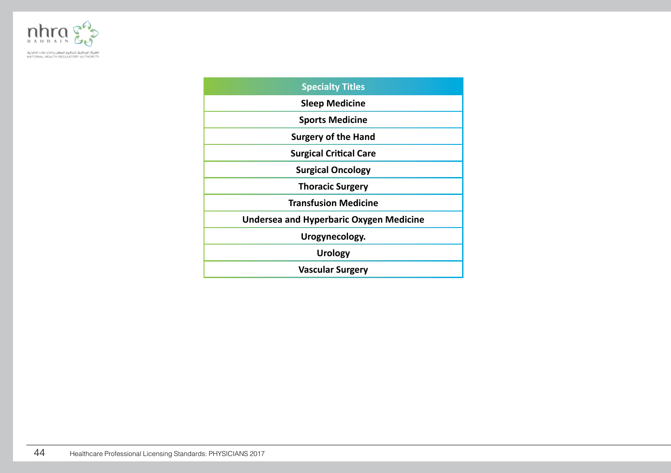

| <b>Specialty Titles</b>                        |
|------------------------------------------------|
| <b>Sleep Medicine</b>                          |
| <b>Sports Medicine</b>                         |
| <b>Surgery of the Hand</b>                     |
| <b>Surgical Critical Care</b>                  |
| <b>Surgical Oncology</b>                       |
| <b>Thoracic Surgery</b>                        |
| <b>Transfusion Medicine</b>                    |
| <b>Undersea and Hyperbaric Oxygen Medicine</b> |
| Urogynecology.                                 |
| <b>Urology</b>                                 |
| <b>Vascular Surgery</b>                        |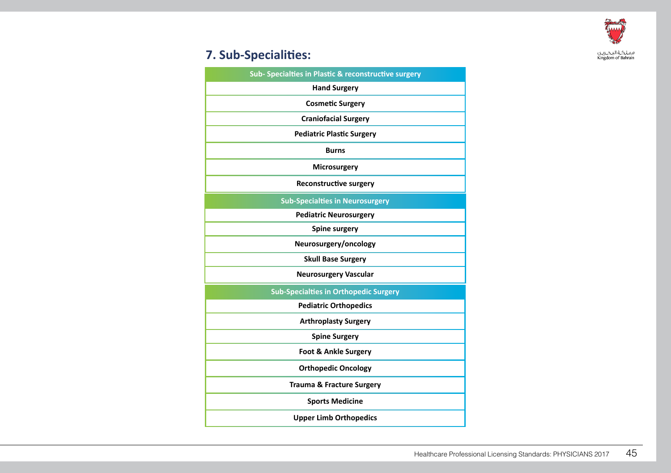

#### **7. Sub-Specialities:**

| <b>Hand Surgery</b><br><b>Cosmetic Surgery</b><br><b>Craniofacial Surgery</b><br><b>Pediatric Plastic Surgery</b><br><b>Burns</b><br>Microsurgery<br>Reconstructive surgery<br><b>Sub-Specialties in Neurosurgery</b><br><b>Pediatric Neurosurgery</b><br>Spine surgery<br>Neurosurgery/oncology<br><b>Skull Base Surgery</b><br><b>Neurosurgery Vascular</b><br><b>Sub-Specialties in Orthopedic Surgery</b><br><b>Pediatric Orthopedics</b><br><b>Arthroplasty Surgery</b><br><b>Spine Surgery</b><br>Foot & Ankle Surgery<br><b>Orthopedic Oncology</b><br><b>Trauma &amp; Fracture Surgery</b> |
|----------------------------------------------------------------------------------------------------------------------------------------------------------------------------------------------------------------------------------------------------------------------------------------------------------------------------------------------------------------------------------------------------------------------------------------------------------------------------------------------------------------------------------------------------------------------------------------------------|
|                                                                                                                                                                                                                                                                                                                                                                                                                                                                                                                                                                                                    |
|                                                                                                                                                                                                                                                                                                                                                                                                                                                                                                                                                                                                    |
|                                                                                                                                                                                                                                                                                                                                                                                                                                                                                                                                                                                                    |
|                                                                                                                                                                                                                                                                                                                                                                                                                                                                                                                                                                                                    |
|                                                                                                                                                                                                                                                                                                                                                                                                                                                                                                                                                                                                    |
|                                                                                                                                                                                                                                                                                                                                                                                                                                                                                                                                                                                                    |
|                                                                                                                                                                                                                                                                                                                                                                                                                                                                                                                                                                                                    |
|                                                                                                                                                                                                                                                                                                                                                                                                                                                                                                                                                                                                    |
|                                                                                                                                                                                                                                                                                                                                                                                                                                                                                                                                                                                                    |
|                                                                                                                                                                                                                                                                                                                                                                                                                                                                                                                                                                                                    |
|                                                                                                                                                                                                                                                                                                                                                                                                                                                                                                                                                                                                    |
|                                                                                                                                                                                                                                                                                                                                                                                                                                                                                                                                                                                                    |
|                                                                                                                                                                                                                                                                                                                                                                                                                                                                                                                                                                                                    |
|                                                                                                                                                                                                                                                                                                                                                                                                                                                                                                                                                                                                    |
|                                                                                                                                                                                                                                                                                                                                                                                                                                                                                                                                                                                                    |
|                                                                                                                                                                                                                                                                                                                                                                                                                                                                                                                                                                                                    |
|                                                                                                                                                                                                                                                                                                                                                                                                                                                                                                                                                                                                    |
|                                                                                                                                                                                                                                                                                                                                                                                                                                                                                                                                                                                                    |
|                                                                                                                                                                                                                                                                                                                                                                                                                                                                                                                                                                                                    |
|                                                                                                                                                                                                                                                                                                                                                                                                                                                                                                                                                                                                    |
| <b>Sports Medicine</b>                                                                                                                                                                                                                                                                                                                                                                                                                                                                                                                                                                             |
| <b>Upper Limb Orthopedics</b>                                                                                                                                                                                                                                                                                                                                                                                                                                                                                                                                                                      |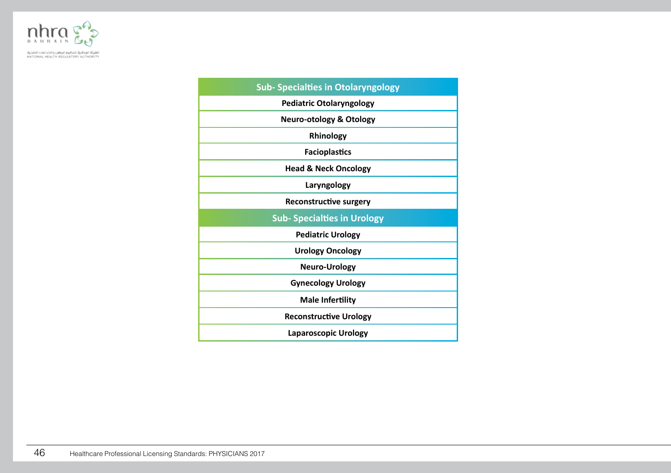

| <b>Sub-Specialties in Otolaryngology</b> |  |  |
|------------------------------------------|--|--|
|------------------------------------------|--|--|

**Pediatric Otolaryngology**

**Neuro-otology & Otology**

**Rhinology**

**Facioplastics**

**Head & Neck Oncology**

**Laryngology**

**Reconstructive surgery**

**Sub- Specialties in Urology**

**Pediatric Urology**

**Urology Oncology**

**Neuro-Urology**

**Gynecology Urology**

**Male Infertility**

**Reconstructive Urology**

**Laparoscopic Urology**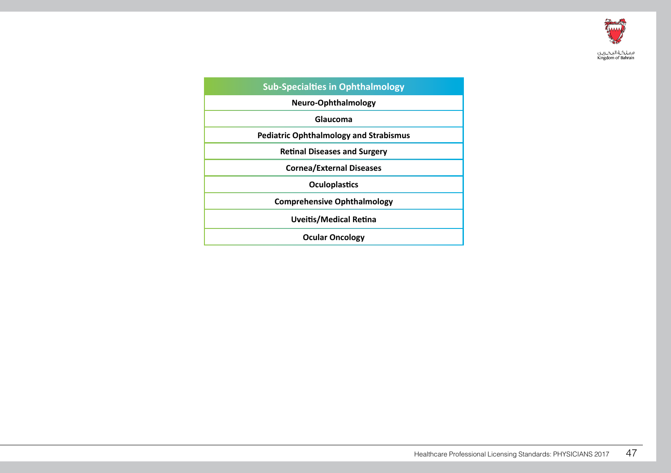

|  |  |  |  | <b>Sub-Specialties in Ophthalmology</b> |
|--|--|--|--|-----------------------------------------|
|--|--|--|--|-----------------------------------------|

**Neuro-Ophthalmology**

**Glaucoma**

**Pediatric Ophthalmology and Strabismus**

**Retinal Diseases and Surgery**

**Cornea/External Diseases**

**Oculoplastics**

**Comprehensive Ophthalmology**

**Uveitis/Medical Retina**

**Ocular Oncology**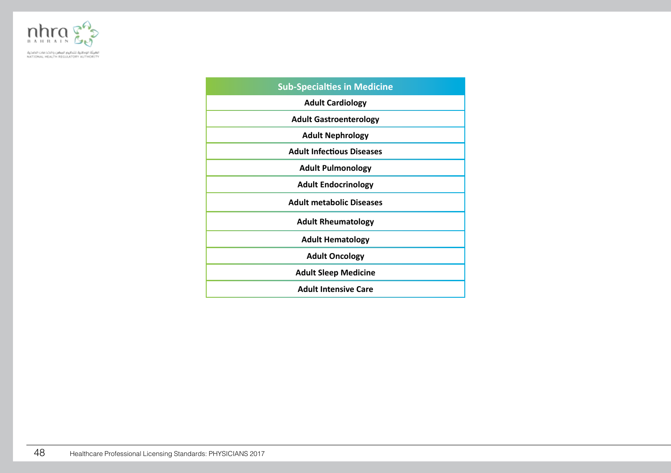

| <b>Sub-Specialties in Medicine</b> |
|------------------------------------|
| <b>Adult Cardiology</b>            |
| <b>Adult Gastroenterology</b>      |
| <b>Adult Nephrology</b>            |
| <b>Adult Infectious Diseases</b>   |
| <b>Adult Pulmonology</b>           |
| <b>Adult Endocrinology</b>         |
| <b>Adult metabolic Diseases</b>    |
| <b>Adult Rheumatology</b>          |
| <b>Adult Hematology</b>            |
| <b>Adult Oncology</b>              |
| <b>Adult Sleep Medicine</b>        |
| <b>Adult Intensive Care</b>        |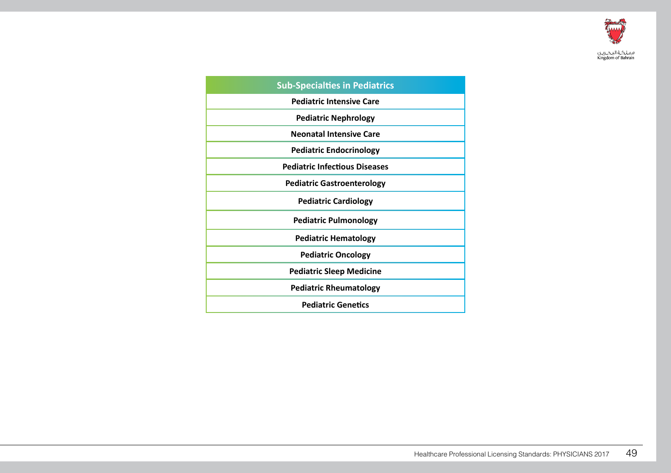

#### **Sub-Specialties in Pediatrics**

**Pediatric Intensive Care**

**Pediatric Nephrology**

**Neonatal Intensive Care**

**Pediatric Endocrinology**

**Pediatric Infectious Diseases**

**Pediatric Gastroenterology**

**Pediatric Cardiology**

**Pediatric Pulmonology**

**Pediatric Hematology**

**Pediatric Oncology**

**Pediatric Sleep Medicine**

**Pediatric Rheumatology**

**Pediatric Genetics**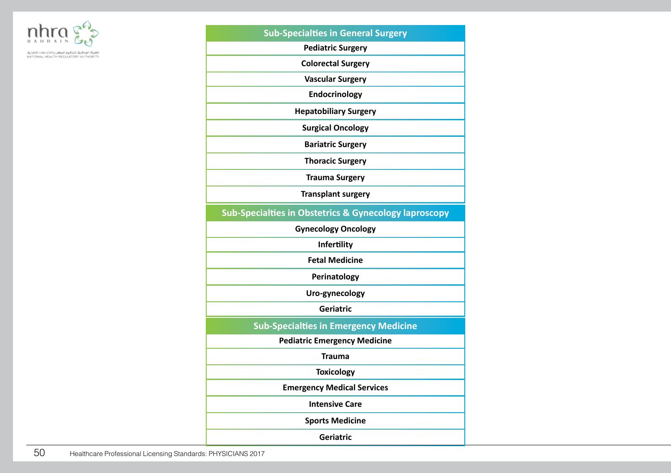

#### **Sub-Specialties in General Surgery**

**Pediatric Surgery**

**Colorectal Surgery**

**Vascular Surgery**

**Endocrinology**

**Hepatobiliary Surgery**

**Surgical Oncology**

**Bariatric Surgery**

**Thoracic Surgery**

**Trauma Surgery**

**Transplant surgery**

**Sub-Specialties in Obstetrics & Gynecology laproscopy**

**Gynecology Oncology**

**Infertility**

**Fetal Medicine**

**Perinatology**

**Uro-gynecology**

**Geriatric**

**Sub-Specialties in Emergency Medicine**

**Pediatric Emergency Medicine**

**Trauma**

**Toxicology**

**Emergency Medical Services**

**Intensive Care**

**Sports Medicine**

**Geriatric**

50 Healthcare Professional Licensing Standards: PHYSICIANS 2017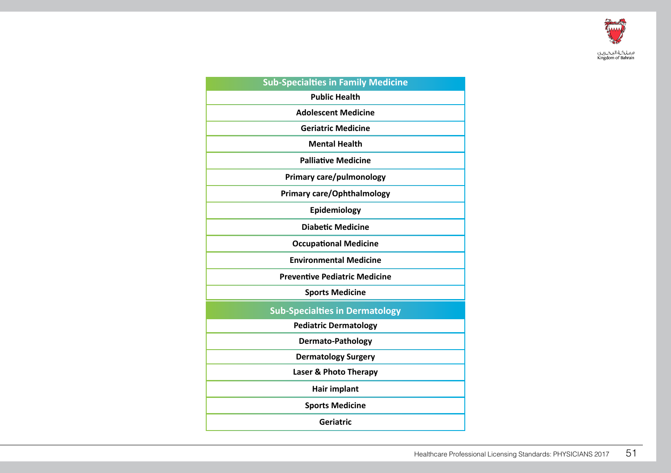

| <b>Sub-Specialties in Family Medicine</b> |
|-------------------------------------------|
| <b>Public Health</b>                      |
| <b>Adolescent Medicine</b>                |
| <b>Geriatric Medicine</b>                 |
| <b>Mental Health</b>                      |
| <b>Palliative Medicine</b>                |
| Primary care/pulmonology                  |
| Primary care/Ophthalmology                |
| Epidemiology                              |
| <b>Diabetic Medicine</b>                  |
| <b>Occupational Medicine</b>              |
| <b>Environmental Medicine</b>             |
| <b>Preventive Pediatric Medicine</b>      |
| <b>Sports Medicine</b>                    |
| <b>Sub-Specialties in Dermatology</b>     |
| <b>Pediatric Dermatology</b>              |
| Dermato-Pathology                         |
| <b>Dermatology Surgery</b>                |
| Laser & Photo Therapy                     |
| Hair implant                              |
| <b>Sports Medicine</b>                    |
| Geriatric                                 |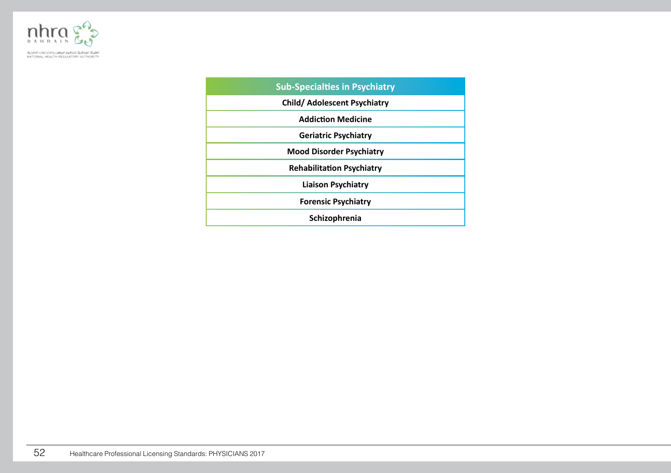

#### **Sub-Specialties in Psychiatry**

**Child/ Adolescent Psychiatry**

**Addiction Medicine**

**Geriatric Psychiatry**

**Mood Disorder Psychiatry**

**Rehabilitation Psychiatry**

**Liaison Psychiatry**

**Forensic Psychiatry**

**Schizophrenia**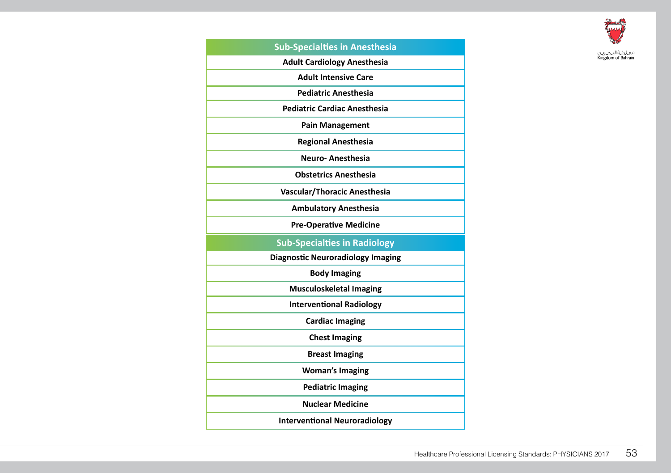

| <b>Sub-Specialties in Anesthesia</b>     |  |
|------------------------------------------|--|
| <b>Adult Cardiology Anesthesia</b>       |  |
| <b>Adult Intensive Care</b>              |  |
| <b>Pediatric Anesthesia</b>              |  |
| <b>Pediatric Cardiac Anesthesia</b>      |  |
| <b>Pain Management</b>                   |  |
| <b>Regional Anesthesia</b>               |  |
| Neuro-Anesthesia                         |  |
| <b>Obstetrics Anesthesia</b>             |  |
| Vascular/Thoracic Anesthesia             |  |
| <b>Ambulatory Anesthesia</b>             |  |
| <b>Pre-Operative Medicine</b>            |  |
|                                          |  |
| <b>Sub-Specialties in Radiology</b>      |  |
| <b>Diagnostic Neuroradiology Imaging</b> |  |
| <b>Body Imaging</b>                      |  |
| <b>Musculoskeletal Imaging</b>           |  |
| <b>Interventional Radiology</b>          |  |
| <b>Cardiac Imaging</b>                   |  |
| <b>Chest Imaging</b>                     |  |
| <b>Breast Imaging</b>                    |  |
| <b>Woman's Imaging</b>                   |  |
| <b>Pediatric Imaging</b>                 |  |
| <b>Nuclear Medicine</b>                  |  |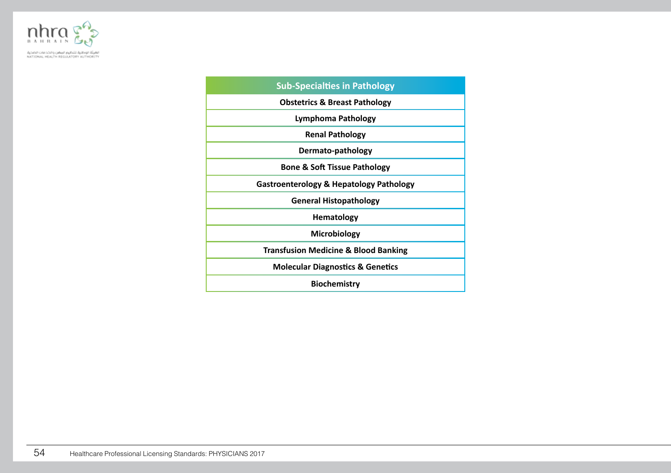

#### **Sub-Specialties in Pathology**

**Obstetrics & Breast Pathology**

**Lymphoma Pathology**

**Renal Pathology**

**Dermato-pathology**

**Bone & Soft Tissue Pathology**

**Gastroenterology & Hepatology Pathology**

**General Histopathology**

**Hematology**

**Microbiology**

**Transfusion Medicine & Blood Banking**

**Molecular Diagnostics & Genetics**

**Biochemistry**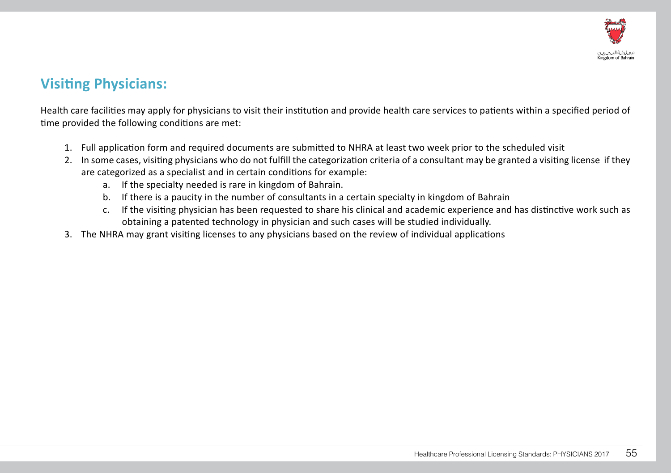

## **Visiting Physicians:**

Health care facilities may apply for physicians to visit their institution and provide health care services to patients within a specified period of time provided the following conditions are met:

- 1. Full application form and required documents are submitted to NHRA at least two week prior to the scheduled visit
- 2. In some cases, visiting physicians who do not fulfill the categorization criteria of a consultant may be granted a visiting license if they are categorized as a specialist and in certain conditions for example:
	- a. If the specialty needed is rare in kingdom of Bahrain.
	- b. If there is a paucity in the number of consultants in a certain specialty in kingdom of Bahrain
	- c. If the visiting physician has been requested to share his clinical and academic experience and has distinctive work such as obtaining a patented technology in physician and such cases will be studied individually.
- 3. The NHRA may grant visiting licenses to any physicians based on the review of individual applications